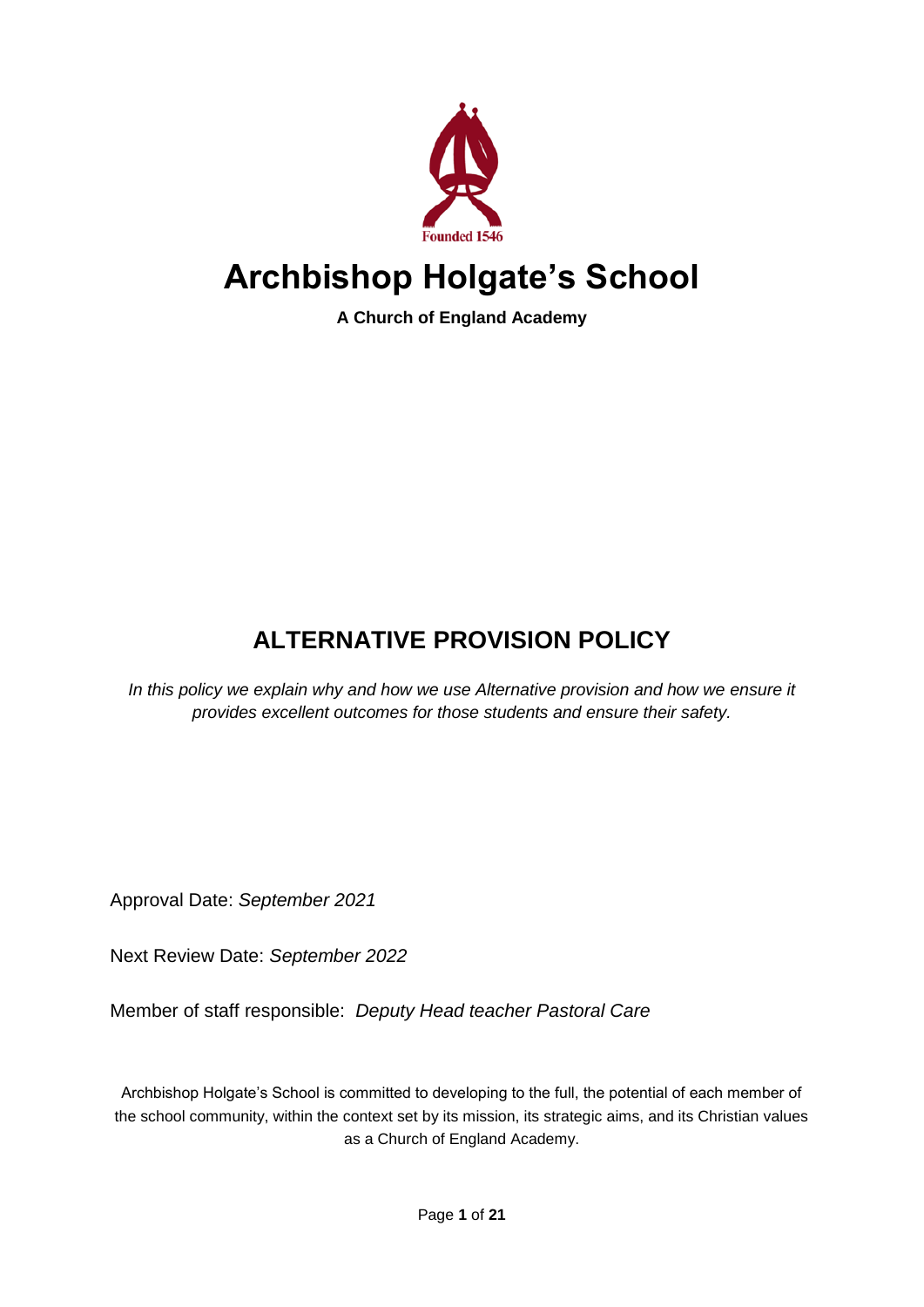

# **Archbishop Holgate's School**

**A Church of England Academy**

# **ALTERNATIVE PROVISION POLICY**

*In this policy we explain why and how we use Alternative provision and how we ensure it provides excellent outcomes for those students and ensure their safety.*

Approval Date: *September 2021*

Next Review Date: *September 2022*

Member of staff responsible: *Deputy Head teacher Pastoral Care*

Archbishop Holgate's School is committed to developing to the full, the potential of each member of the school community, within the context set by its mission, its strategic aims, and its Christian values as a Church of England Academy.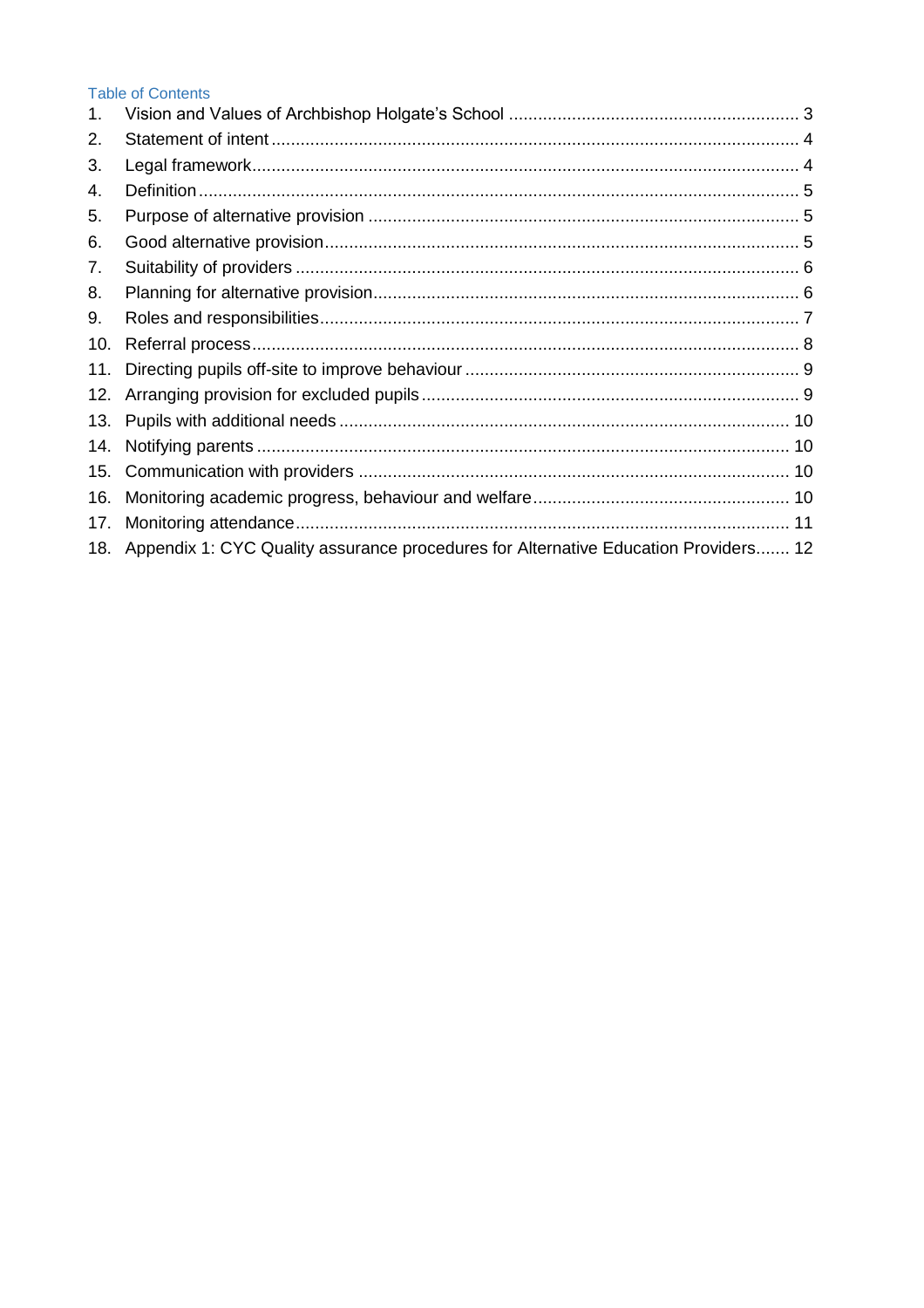#### **Table of Contents**

| 1.  |                                                                                         |  |
|-----|-----------------------------------------------------------------------------------------|--|
| 2.  |                                                                                         |  |
| 3.  |                                                                                         |  |
| 4.  |                                                                                         |  |
| 5.  |                                                                                         |  |
| 6.  |                                                                                         |  |
| 7.  |                                                                                         |  |
| 8.  |                                                                                         |  |
| 9.  |                                                                                         |  |
| 10. |                                                                                         |  |
| 11. |                                                                                         |  |
| 12. |                                                                                         |  |
| 13. |                                                                                         |  |
| 14. |                                                                                         |  |
| 15. |                                                                                         |  |
| 16. |                                                                                         |  |
| 17. | 11                                                                                      |  |
|     | 18. Appendix 1: CYC Quality assurance procedures for Alternative Education Providers 12 |  |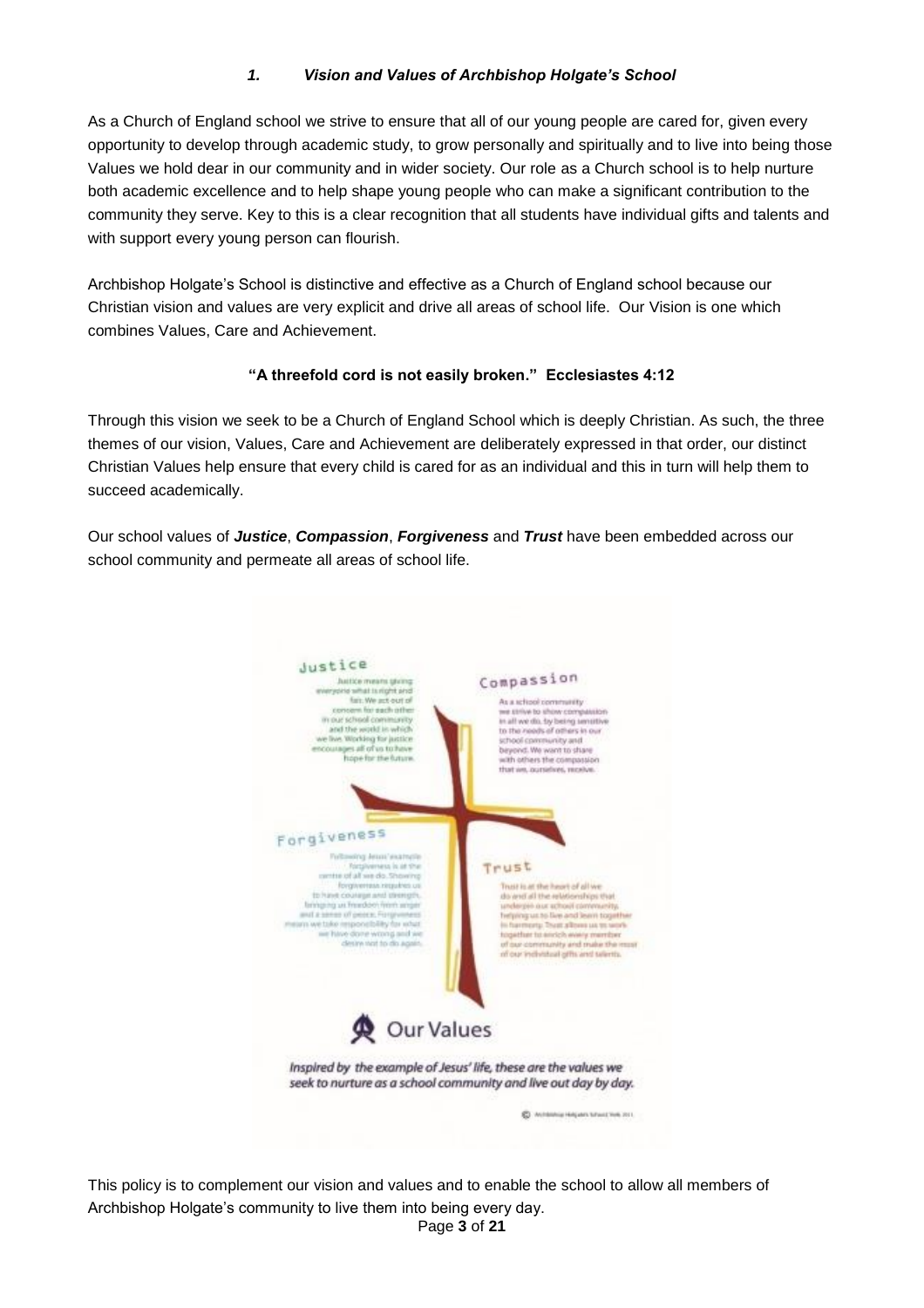#### *1. Vision and Values of Archbishop Holgate's School*

<span id="page-2-0"></span>As a Church of England school we strive to ensure that all of our young people are cared for, given every opportunity to develop through academic study, to grow personally and spiritually and to live into being those Values we hold dear in our community and in wider society. Our role as a Church school is to help nurture both academic excellence and to help shape young people who can make a significant contribution to the community they serve. Key to this is a clear recognition that all students have individual gifts and talents and with support every young person can flourish.

Archbishop Holgate's School is distinctive and effective as a Church of England school because our Christian vision and values are very explicit and drive all areas of school life. Our Vision is one which combines Values, Care and Achievement.

#### **"A threefold cord is not easily broken." Ecclesiastes 4:12**

Through this vision we seek to be a Church of England School which is deeply Christian. As such, the three themes of our vision, Values, Care and Achievement are deliberately expressed in that order, our distinct Christian Values help ensure that every child is cared for as an individual and this in turn will help them to succeed academically.

Our school values of *Justice*, *Compassion*, *Forgiveness* and *Trust* have been embedded across our school community and permeate all areas of school life.



Page **3** of **21** This policy is to complement our vision and values and to enable the school to allow all members of Archbishop Holgate's community to live them into being every day.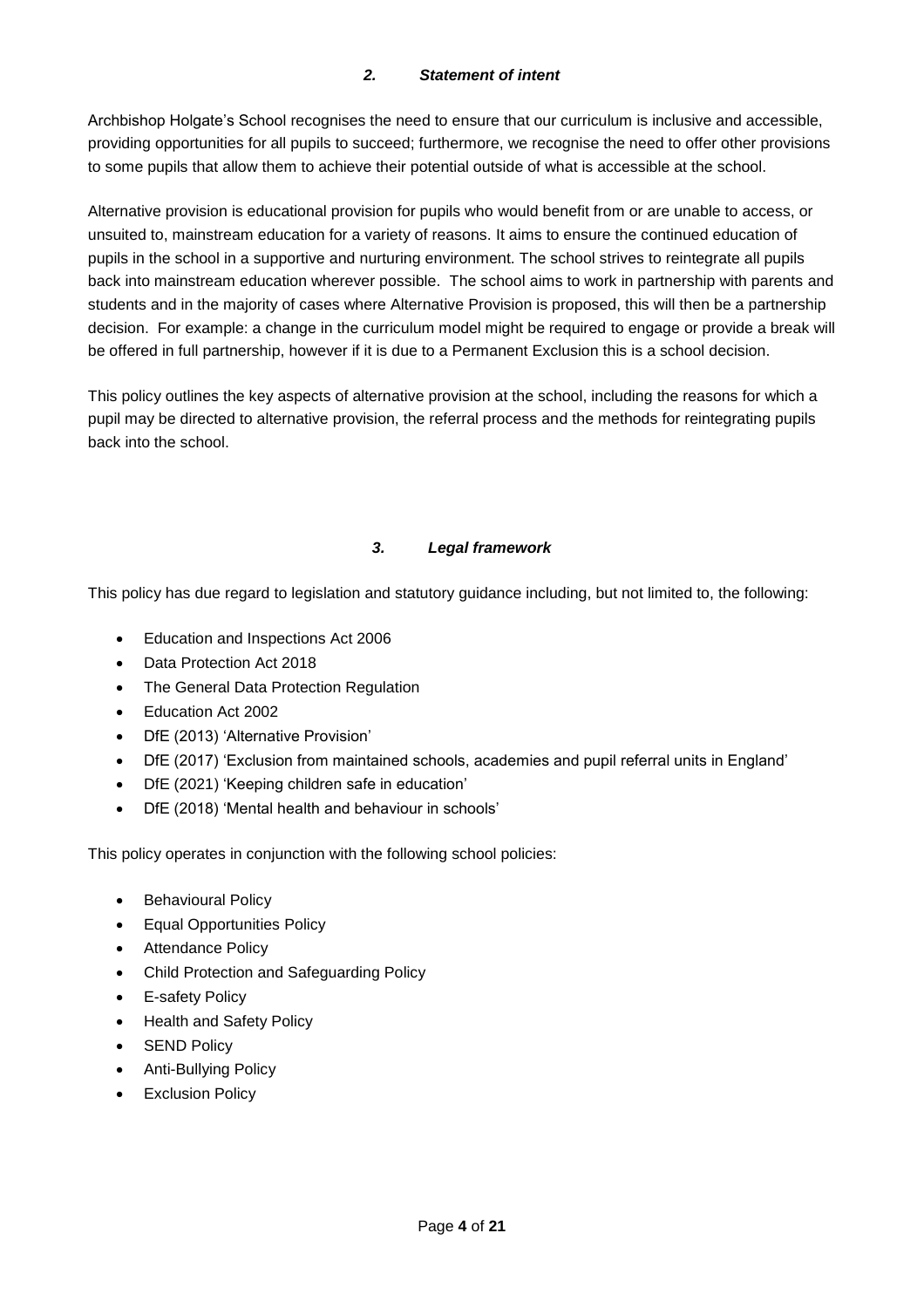#### *2. Statement of intent*

<span id="page-3-0"></span>Archbishop Holgate's School recognises the need to ensure that our curriculum is inclusive and accessible, providing opportunities for all pupils to succeed; furthermore, we recognise the need to offer other provisions to some pupils that allow them to achieve their potential outside of what is accessible at the school.

Alternative provision is educational provision for pupils who would benefit from or are unable to access, or unsuited to, mainstream education for a variety of reasons. It aims to ensure the continued education of pupils in the school in a supportive and nurturing environment. The school strives to reintegrate all pupils back into mainstream education wherever possible. The school aims to work in partnership with parents and students and in the majority of cases where Alternative Provision is proposed, this will then be a partnership decision. For example: a change in the curriculum model might be required to engage or provide a break will be offered in full partnership, however if it is due to a Permanent Exclusion this is a school decision.

This policy outlines the key aspects of alternative provision at the school, including the reasons for which a pupil may be directed to alternative provision, the referral process and the methods for reintegrating pupils back into the school.

#### *3. Legal framework*

<span id="page-3-1"></span>This policy has due regard to legislation and statutory guidance including, but not limited to, the following:

- Education and Inspections Act 2006
- Data Protection Act 2018
- The General Data Protection Regulation
- Education Act 2002
- DfE (2013) 'Alternative Provision'
- DfE (2017) 'Exclusion from maintained schools, academies and pupil referral units in England'
- DfE (2021) 'Keeping children safe in education'
- DfE (2018) 'Mental health and behaviour in schools'

This policy operates in conjunction with the following school policies:

- Behavioural Policy
- Equal Opportunities Policy
- Attendance Policy
- Child Protection and Safeguarding Policy
- **E-safety Policy**
- Health and Safety Policy
- **SEND Policy**
- Anti-Bullying Policy
- **Exclusion Policy**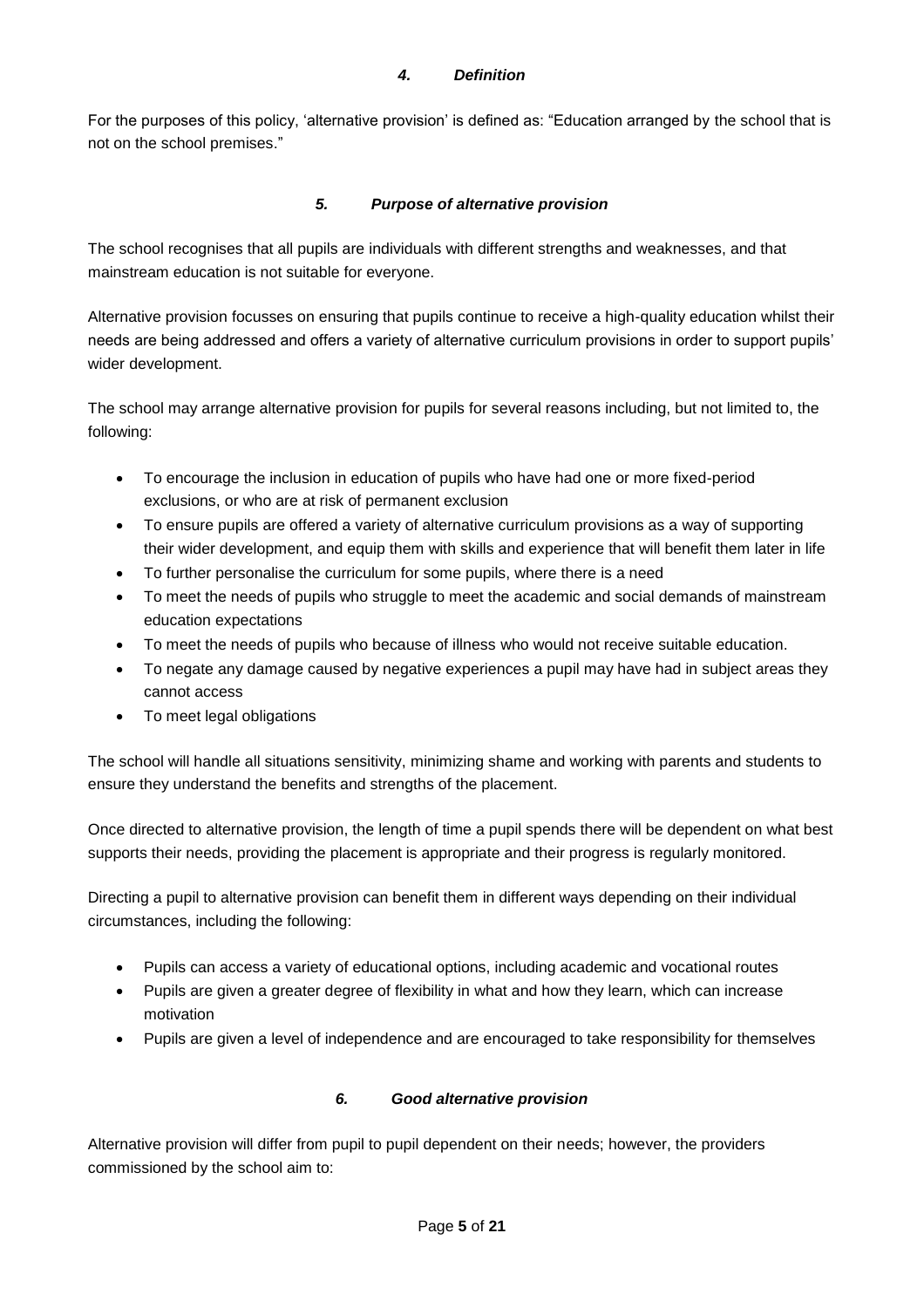#### *4. Definition*

<span id="page-4-0"></span>For the purposes of this policy, 'alternative provision' is defined as: "Education arranged by the school that is not on the school premises."

#### *5. Purpose of alternative provision*

<span id="page-4-1"></span>The school recognises that all pupils are individuals with different strengths and weaknesses, and that mainstream education is not suitable for everyone.

Alternative provision focusses on ensuring that pupils continue to receive a high-quality education whilst their needs are being addressed and offers a variety of alternative curriculum provisions in order to support pupils' wider development.

The school may arrange alternative provision for pupils for several reasons including, but not limited to, the following:

- To encourage the inclusion in education of pupils who have had one or more fixed-period exclusions, or who are at risk of permanent exclusion
- To ensure pupils are offered a variety of alternative curriculum provisions as a way of supporting their wider development, and equip them with skills and experience that will benefit them later in life
- To further personalise the curriculum for some pupils, where there is a need
- To meet the needs of pupils who struggle to meet the academic and social demands of mainstream education expectations
- To meet the needs of pupils who because of illness who would not receive suitable education.
- To negate any damage caused by negative experiences a pupil may have had in subject areas they cannot access
- To meet legal obligations

The school will handle all situations sensitivity, minimizing shame and working with parents and students to ensure they understand the benefits and strengths of the placement.

Once directed to alternative provision, the length of time a pupil spends there will be dependent on what best supports their needs, providing the placement is appropriate and their progress is regularly monitored.

Directing a pupil to alternative provision can benefit them in different ways depending on their individual circumstances, including the following:

- Pupils can access a variety of educational options, including academic and vocational routes
- Pupils are given a greater degree of flexibility in what and how they learn, which can increase motivation
- <span id="page-4-2"></span>• Pupils are given a level of independence and are encouraged to take responsibility for themselves

#### *6. Good alternative provision*

Alternative provision will differ from pupil to pupil dependent on their needs; however, the providers commissioned by the school aim to: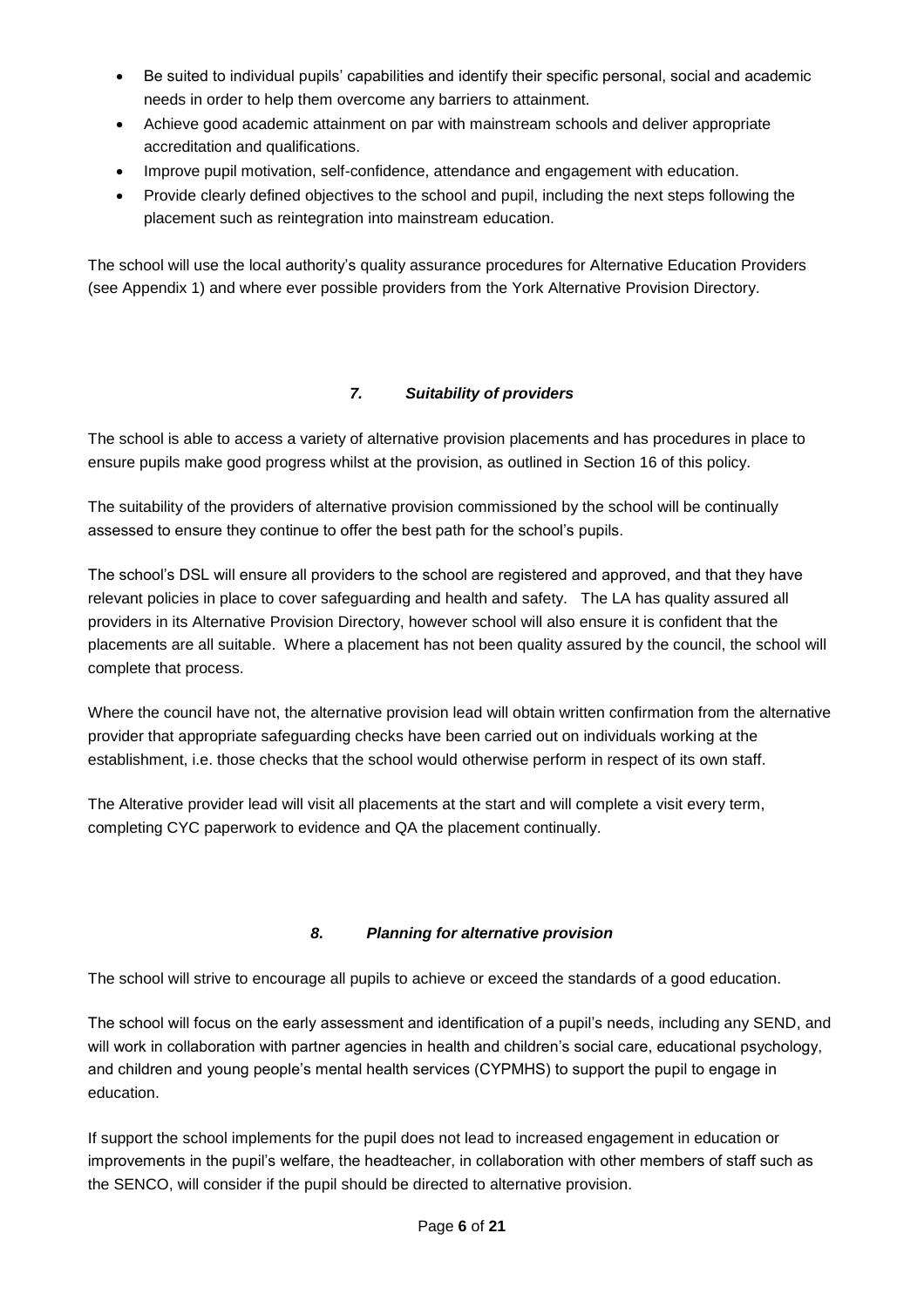- Be suited to individual pupils' capabilities and identify their specific personal, social and academic needs in order to help them overcome any barriers to attainment.
- Achieve good academic attainment on par with mainstream schools and deliver appropriate accreditation and qualifications.
- Improve pupil motivation, self-confidence, attendance and engagement with education.
- Provide clearly defined objectives to the school and pupil, including the next steps following the placement such as reintegration into mainstream education.

The school will use the local authority's quality assurance procedures for Alternative Education Providers (see Appendix 1) and where ever possible providers from the York Alternative Provision Directory.

#### *7. Suitability of providers*

<span id="page-5-0"></span>The school is able to access a variety of alternative provision placements and has procedures in place to ensure pupils make good progress whilst at the provision, as outlined in Section 16 of this policy.

The suitability of the providers of alternative provision commissioned by the school will be continually assessed to ensure they continue to offer the best path for the school's pupils.

The school's DSL will ensure all providers to the school are registered and approved, and that they have relevant policies in place to cover safeguarding and health and safety. The LA has quality assured all providers in its Alternative Provision Directory, however school will also ensure it is confident that the placements are all suitable. Where a placement has not been quality assured by the council, the school will complete that process.

Where the council have not, the alternative provision lead will obtain written confirmation from the alternative provider that appropriate safeguarding checks have been carried out on individuals working at the establishment, i.e. those checks that the school would otherwise perform in respect of its own staff.

The Alterative provider lead will visit all placements at the start and will complete a visit every term, completing CYC paperwork to evidence and QA the placement continually.

#### *8. Planning for alternative provision*

<span id="page-5-1"></span>The school will strive to encourage all pupils to achieve or exceed the standards of a good education.

The school will focus on the early assessment and identification of a pupil's needs, including any SEND, and will work in collaboration with partner agencies in health and children's social care, educational psychology, and children and young people's mental health services (CYPMHS) to support the pupil to engage in education.

If support the school implements for the pupil does not lead to increased engagement in education or improvements in the pupil's welfare, the headteacher, in collaboration with other members of staff such as the SENCO, will consider if the pupil should be directed to alternative provision.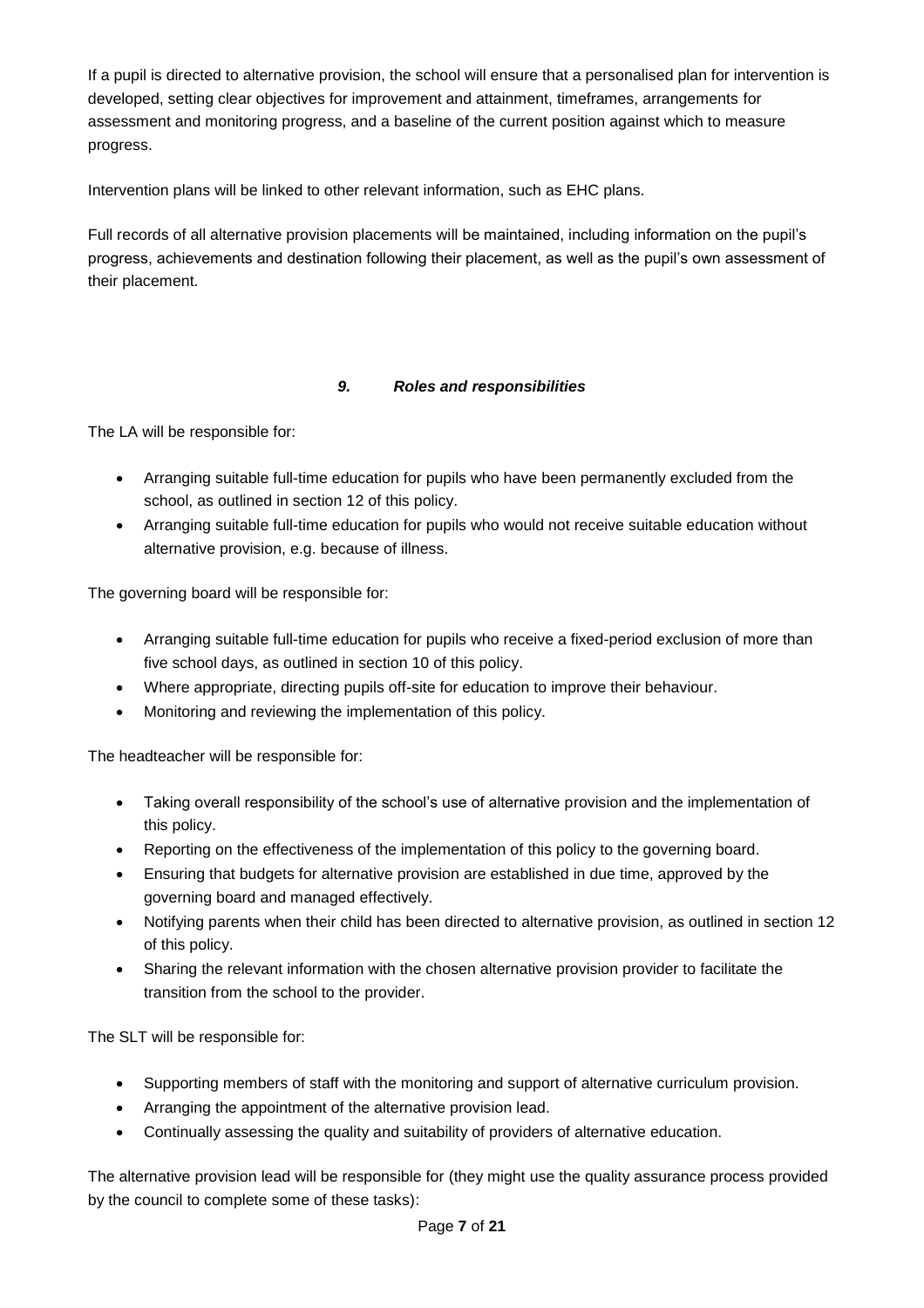If a pupil is directed to alternative provision, the school will ensure that a personalised plan for intervention is developed, setting clear objectives for improvement and attainment, timeframes, arrangements for assessment and monitoring progress, and a baseline of the current position against which to measure progress.

Intervention plans will be linked to other relevant information, such as EHC plans.

Full records of all alternative provision placements will be maintained, including information on the pupil's progress, achievements and destination following their placement, as well as the pupil's own assessment of their placement.

#### *9. Roles and responsibilities*

<span id="page-6-0"></span>The LA will be responsible for:

- Arranging suitable full-time education for pupils who have been permanently excluded from the school, as outlined in section 12 of this policy.
- Arranging suitable full-time education for pupils who would not receive suitable education without alternative provision, e.g. because of illness.

The governing board will be responsible for:

- Arranging suitable full-time education for pupils who receive a fixed-period exclusion of more than five school days, as outlined in section 10 of this policy.
- Where appropriate, directing pupils off-site for education to improve their behaviour.
- Monitoring and reviewing the implementation of this policy.

The headteacher will be responsible for:

- Taking overall responsibility of the school's use of alternative provision and the implementation of this policy.
- Reporting on the effectiveness of the implementation of this policy to the governing board.
- Ensuring that budgets for alternative provision are established in due time, approved by the governing board and managed effectively.
- Notifying parents when their child has been directed to alternative provision, as outlined in section 12 of this policy.
- Sharing the relevant information with the chosen alternative provision provider to facilitate the transition from the school to the provider.

The SLT will be responsible for:

- Supporting members of staff with the monitoring and support of alternative curriculum provision.
- Arranging the appointment of the alternative provision lead.
- Continually assessing the quality and suitability of providers of alternative education.

The alternative provision lead will be responsible for (they might use the quality assurance process provided by the council to complete some of these tasks):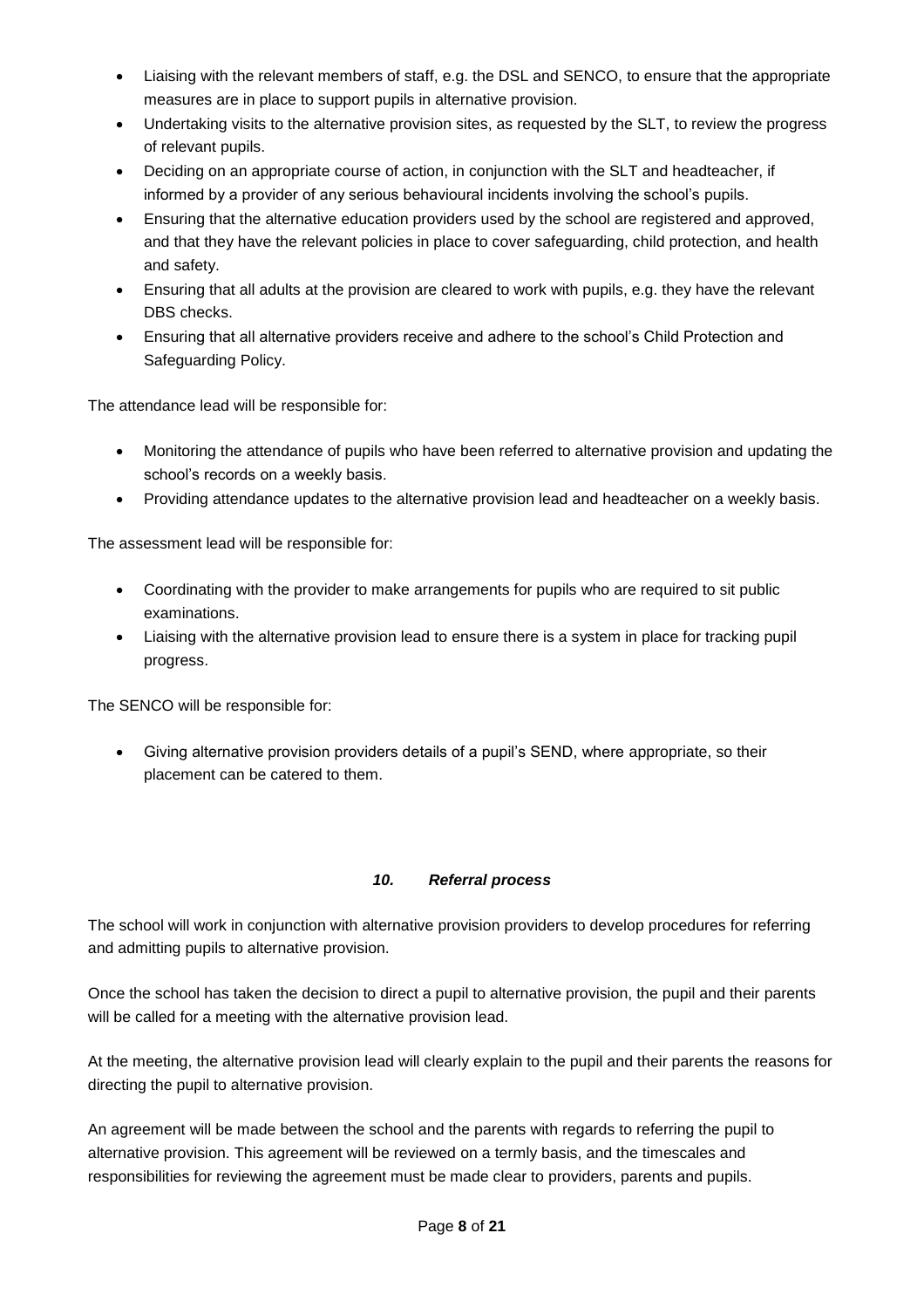- Liaising with the relevant members of staff, e.g. the DSL and SENCO, to ensure that the appropriate measures are in place to support pupils in alternative provision.
- Undertaking visits to the alternative provision sites, as requested by the SLT, to review the progress of relevant pupils.
- Deciding on an appropriate course of action, in conjunction with the SLT and headteacher, if informed by a provider of any serious behavioural incidents involving the school's pupils.
- Ensuring that the alternative education providers used by the school are registered and approved, and that they have the relevant policies in place to cover safeguarding, child protection, and health and safety.
- Ensuring that all adults at the provision are cleared to work with pupils, e.g. they have the relevant DBS checks.
- Ensuring that all alternative providers receive and adhere to the school's Child Protection and Safeguarding Policy.

The attendance lead will be responsible for:

- Monitoring the attendance of pupils who have been referred to alternative provision and updating the school's records on a weekly basis.
- Providing attendance updates to the alternative provision lead and headteacher on a weekly basis.

The assessment lead will be responsible for:

- Coordinating with the provider to make arrangements for pupils who are required to sit public examinations.
- Liaising with the alternative provision lead to ensure there is a system in place for tracking pupil progress.

The SENCO will be responsible for:

• Giving alternative provision providers details of a pupil's SEND, where appropriate, so their placement can be catered to them.

#### *10. Referral process*

<span id="page-7-0"></span>The school will work in conjunction with alternative provision providers to develop procedures for referring and admitting pupils to alternative provision.

Once the school has taken the decision to direct a pupil to alternative provision, the pupil and their parents will be called for a meeting with the alternative provision lead.

At the meeting, the alternative provision lead will clearly explain to the pupil and their parents the reasons for directing the pupil to alternative provision.

An agreement will be made between the school and the parents with regards to referring the pupil to alternative provision. This agreement will be reviewed on a termly basis, and the timescales and responsibilities for reviewing the agreement must be made clear to providers, parents and pupils.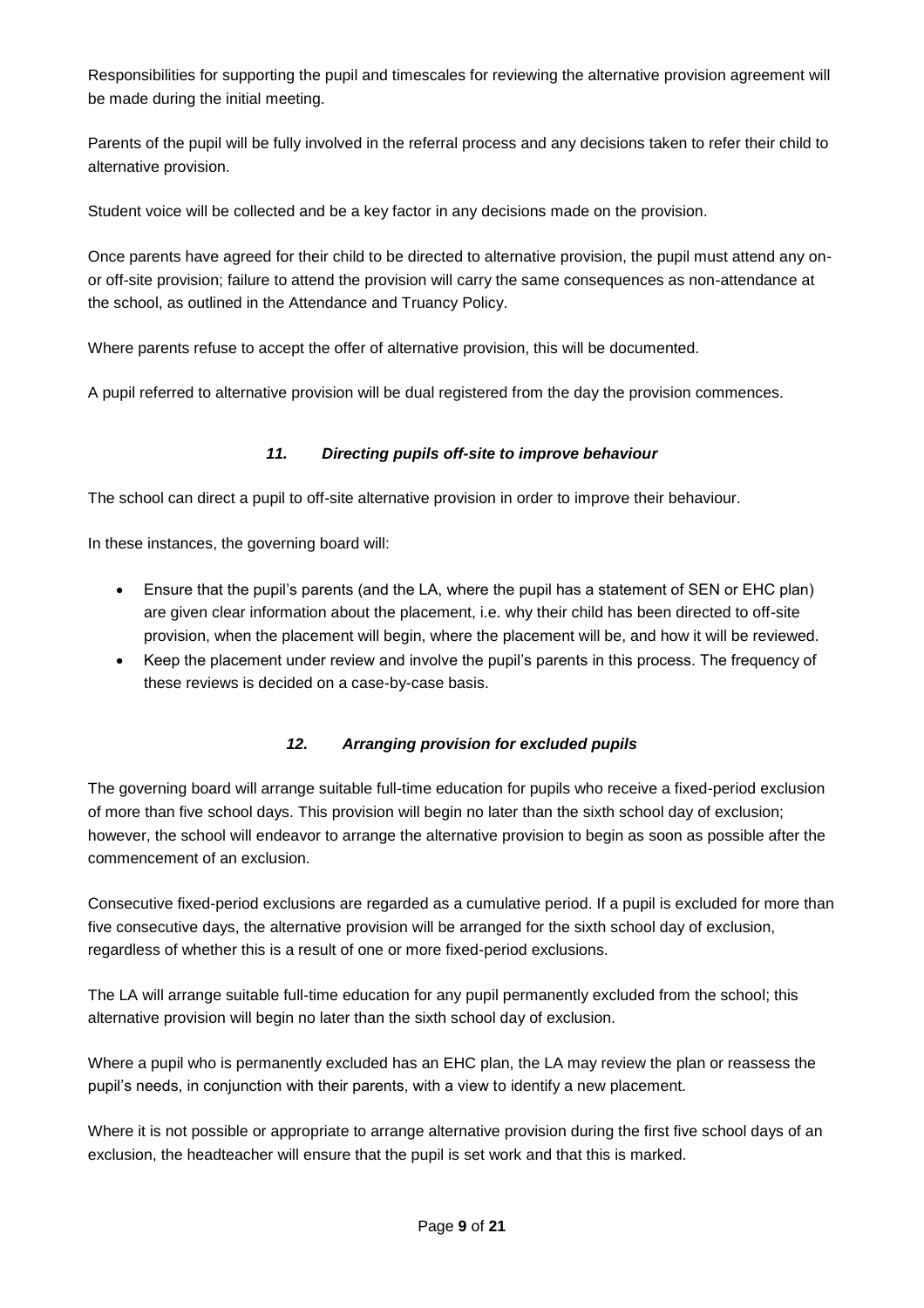Responsibilities for supporting the pupil and timescales for reviewing the alternative provision agreement will be made during the initial meeting.

Parents of the pupil will be fully involved in the referral process and any decisions taken to refer their child to alternative provision.

Student voice will be collected and be a key factor in any decisions made on the provision.

Once parents have agreed for their child to be directed to alternative provision, the pupil must attend any onor off-site provision; failure to attend the provision will carry the same consequences as non-attendance at the school, as outlined in the Attendance and Truancy Policy.

Where parents refuse to accept the offer of alternative provision, this will be documented.

<span id="page-8-0"></span>A pupil referred to alternative provision will be dual registered from the day the provision commences.

#### *11. Directing pupils off-site to improve behaviour*

The school can direct a pupil to off-site alternative provision in order to improve their behaviour.

In these instances, the governing board will:

- Ensure that the pupil's parents (and the LA, where the pupil has a statement of SEN or EHC plan) are given clear information about the placement, i.e. why their child has been directed to off-site provision, when the placement will begin, where the placement will be, and how it will be reviewed.
- <span id="page-8-1"></span>• Keep the placement under review and involve the pupil's parents in this process. The frequency of these reviews is decided on a case-by-case basis.

#### *12. Arranging provision for excluded pupils*

The governing board will arrange suitable full-time education for pupils who receive a fixed-period exclusion of more than five school days. This provision will begin no later than the sixth school day of exclusion; however, the school will endeavor to arrange the alternative provision to begin as soon as possible after the commencement of an exclusion.

Consecutive fixed-period exclusions are regarded as a cumulative period. If a pupil is excluded for more than five consecutive days, the alternative provision will be arranged for the sixth school day of exclusion, regardless of whether this is a result of one or more fixed-period exclusions.

The LA will arrange suitable full-time education for any pupil permanently excluded from the school; this alternative provision will begin no later than the sixth school day of exclusion.

Where a pupil who is permanently excluded has an EHC plan, the LA may review the plan or reassess the pupil's needs, in conjunction with their parents, with a view to identify a new placement.

Where it is not possible or appropriate to arrange alternative provision during the first five school days of an exclusion, the headteacher will ensure that the pupil is set work and that this is marked.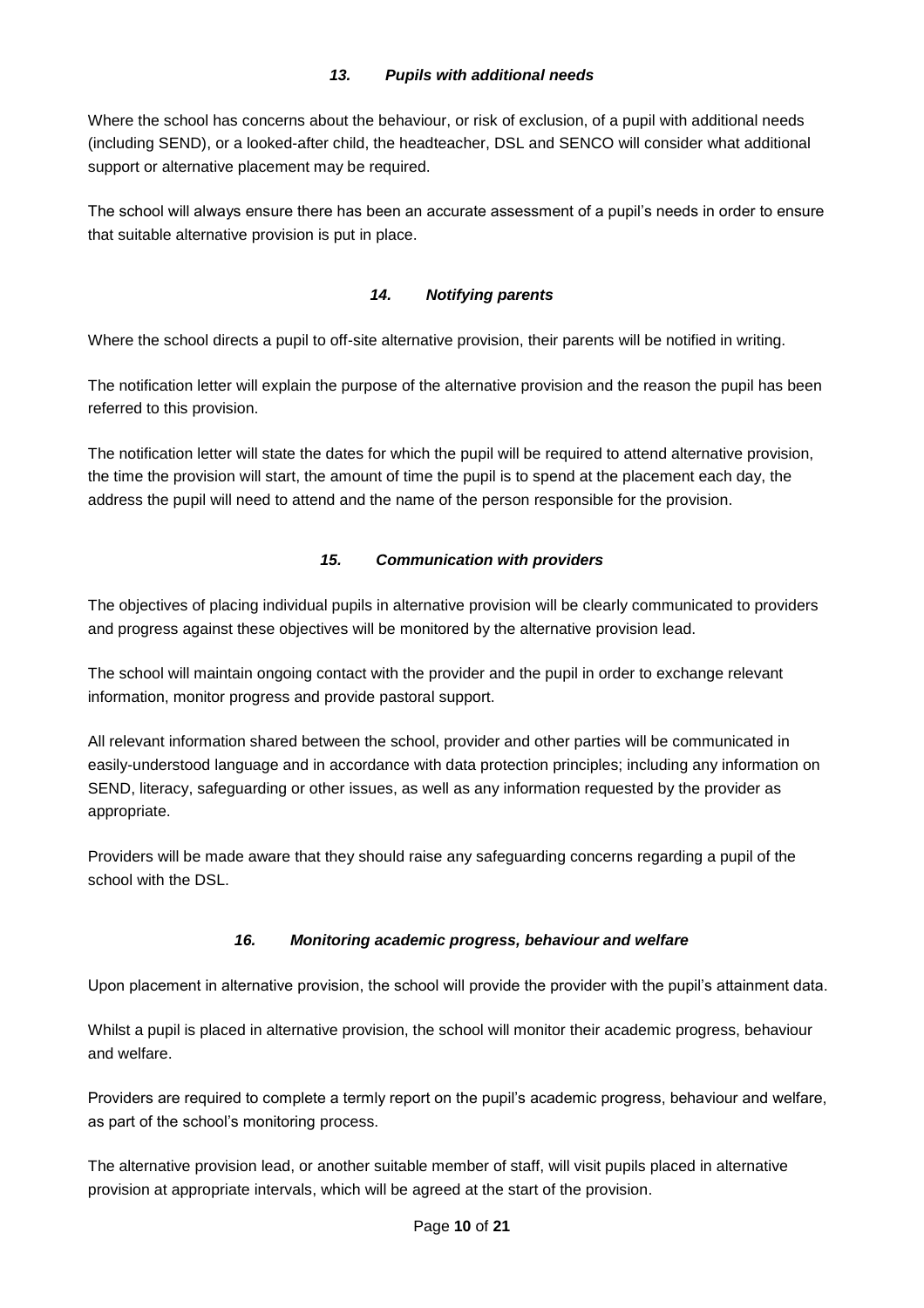#### *13. Pupils with additional needs*

<span id="page-9-0"></span>Where the school has concerns about the behaviour, or risk of exclusion, of a pupil with additional needs (including SEND), or a looked-after child, the headteacher, DSL and SENCO will consider what additional support or alternative placement may be required.

The school will always ensure there has been an accurate assessment of a pupil's needs in order to ensure that suitable alternative provision is put in place.

#### *14. Notifying parents*

<span id="page-9-1"></span>Where the school directs a pupil to off-site alternative provision, their parents will be notified in writing.

The notification letter will explain the purpose of the alternative provision and the reason the pupil has been referred to this provision.

The notification letter will state the dates for which the pupil will be required to attend alternative provision, the time the provision will start, the amount of time the pupil is to spend at the placement each day, the address the pupil will need to attend and the name of the person responsible for the provision.

#### *15. Communication with providers*

<span id="page-9-2"></span>The objectives of placing individual pupils in alternative provision will be clearly communicated to providers and progress against these objectives will be monitored by the alternative provision lead.

The school will maintain ongoing contact with the provider and the pupil in order to exchange relevant information, monitor progress and provide pastoral support.

All relevant information shared between the school, provider and other parties will be communicated in easily-understood language and in accordance with data protection principles; including any information on SEND, literacy, safeguarding or other issues, as well as any information requested by the provider as appropriate.

Providers will be made aware that they should raise any safeguarding concerns regarding a pupil of the school with the DSL.

#### *16. Monitoring academic progress, behaviour and welfare*

<span id="page-9-3"></span>Upon placement in alternative provision, the school will provide the provider with the pupil's attainment data.

Whilst a pupil is placed in alternative provision, the school will monitor their academic progress, behaviour and welfare.

Providers are required to complete a termly report on the pupil's academic progress, behaviour and welfare, as part of the school's monitoring process.

The alternative provision lead, or another suitable member of staff, will visit pupils placed in alternative provision at appropriate intervals, which will be agreed at the start of the provision.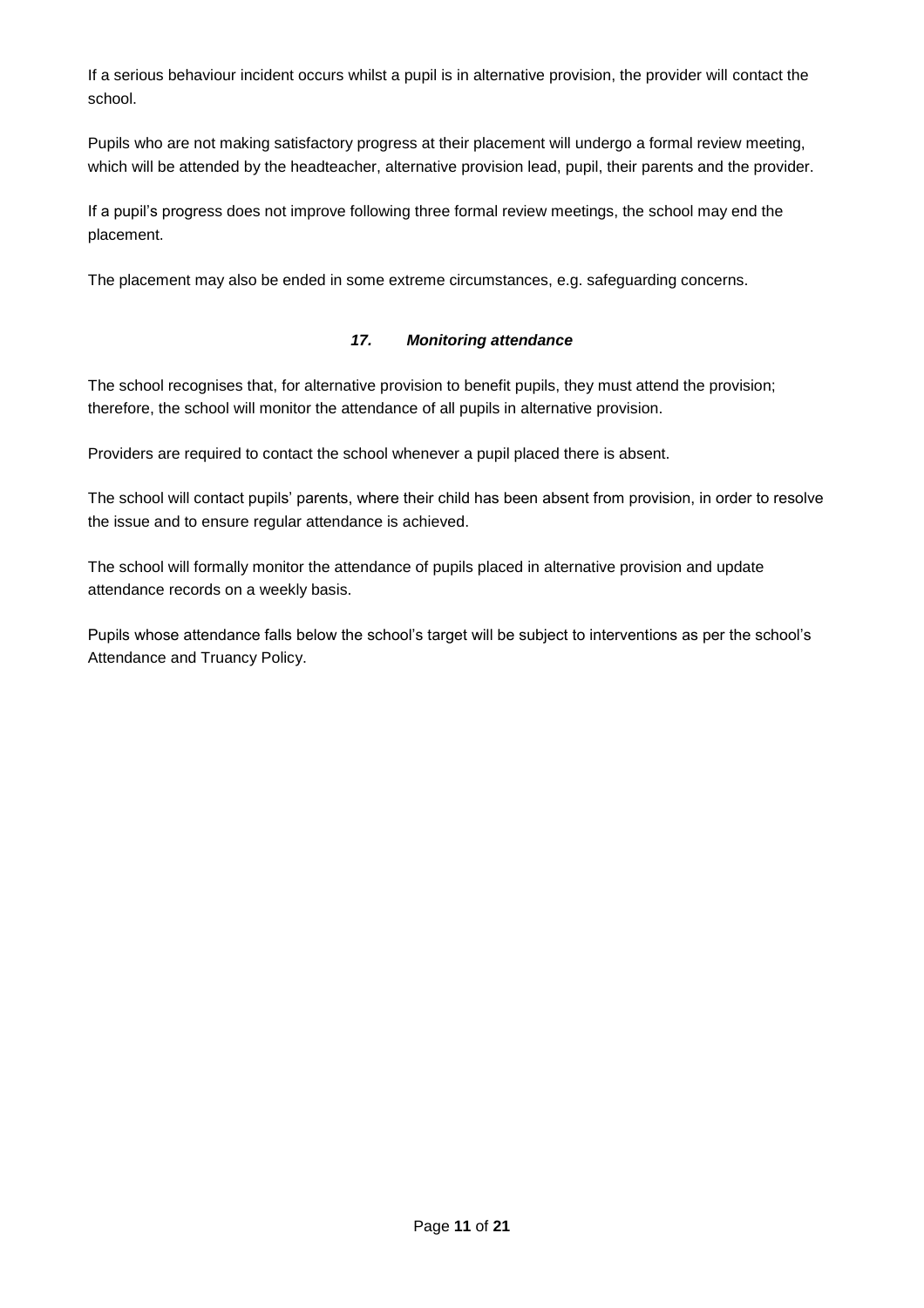If a serious behaviour incident occurs whilst a pupil is in alternative provision, the provider will contact the school.

Pupils who are not making satisfactory progress at their placement will undergo a formal review meeting, which will be attended by the headteacher, alternative provision lead, pupil, their parents and the provider.

If a pupil's progress does not improve following three formal review meetings, the school may end the placement.

<span id="page-10-0"></span>The placement may also be ended in some extreme circumstances, e.g. safeguarding concerns.

#### *17. Monitoring attendance*

The school recognises that, for alternative provision to benefit pupils, they must attend the provision; therefore, the school will monitor the attendance of all pupils in alternative provision.

Providers are required to contact the school whenever a pupil placed there is absent.

The school will contact pupils' parents, where their child has been absent from provision, in order to resolve the issue and to ensure regular attendance is achieved.

The school will formally monitor the attendance of pupils placed in alternative provision and update attendance records on a weekly basis.

Pupils whose attendance falls below the school's target will be subject to interventions as per the school's Attendance and Truancy Policy.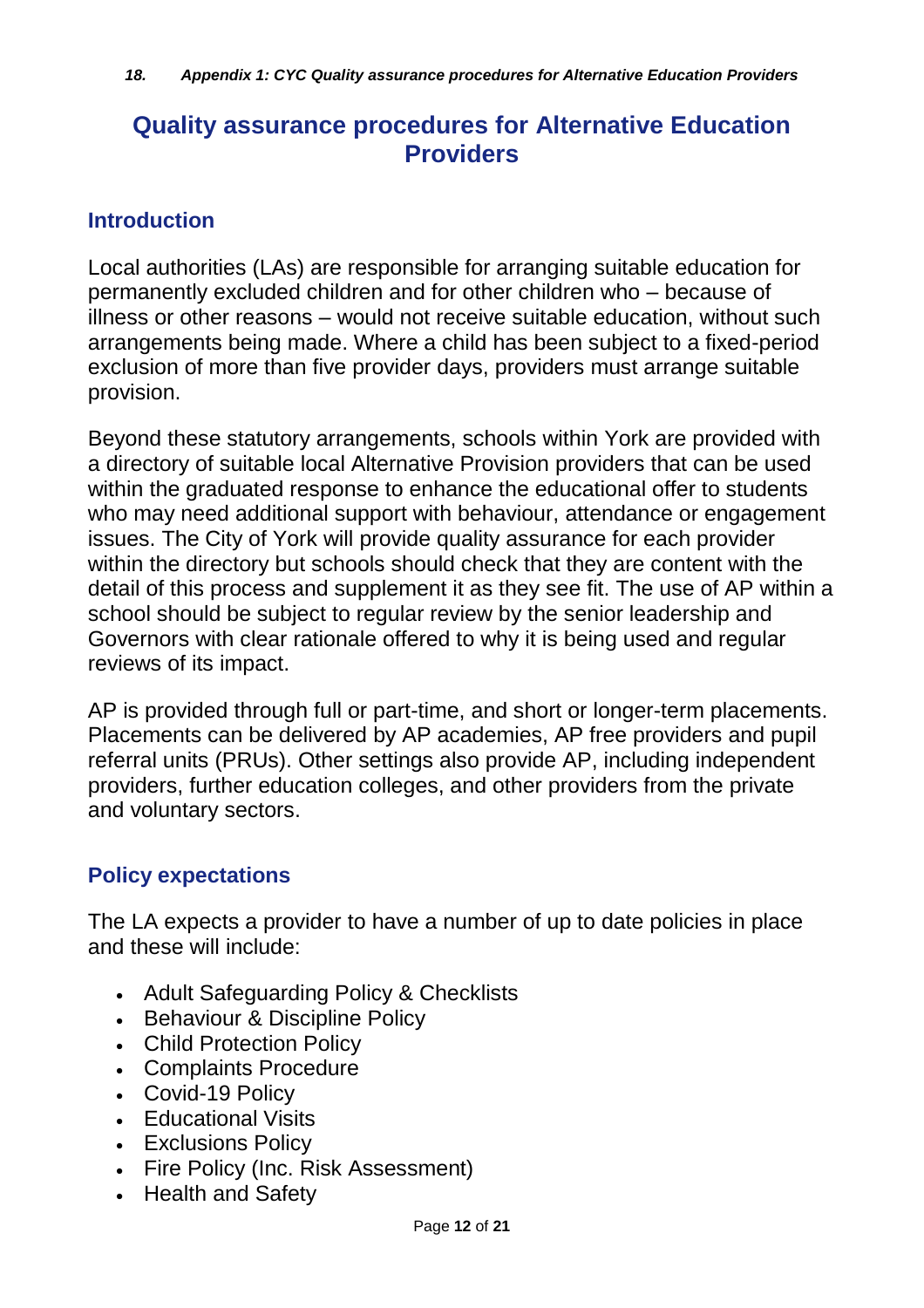# <span id="page-11-0"></span>**Quality assurance procedures for Alternative Education Providers**

### **Introduction**

Local authorities (LAs) are responsible for arranging suitable education for permanently excluded children and for other children who – because of illness or other reasons – would not receive suitable education, without such arrangements being made. Where a child has been subject to a fixed-period exclusion of more than five provider days, providers must arrange suitable provision.

Beyond these statutory arrangements, schools within York are provided with a directory of suitable local Alternative Provision providers that can be used within the graduated response to enhance the educational offer to students who may need additional support with behaviour, attendance or engagement issues. The City of York will provide quality assurance for each provider within the directory but schools should check that they are content with the detail of this process and supplement it as they see fit. The use of AP within a school should be subject to regular review by the senior leadership and Governors with clear rationale offered to why it is being used and regular reviews of its impact.

AP is provided through full or part-time, and short or longer-term placements. Placements can be delivered by AP academies, AP free providers and pupil referral units (PRUs). Other settings also provide AP, including independent providers, further education colleges, and other providers from the private and voluntary sectors.

# **Policy expectations**

The LA expects a provider to have a number of up to date policies in place and these will include:

- Adult Safeguarding Policy & Checklists
- Behaviour & Discipline Policy
- Child Protection Policy
- Complaints Procedure
- Covid-19 Policy
- Educational Visits
- Exclusions Policy
- Fire Policy (Inc. Risk Assessment)
- Health and Safety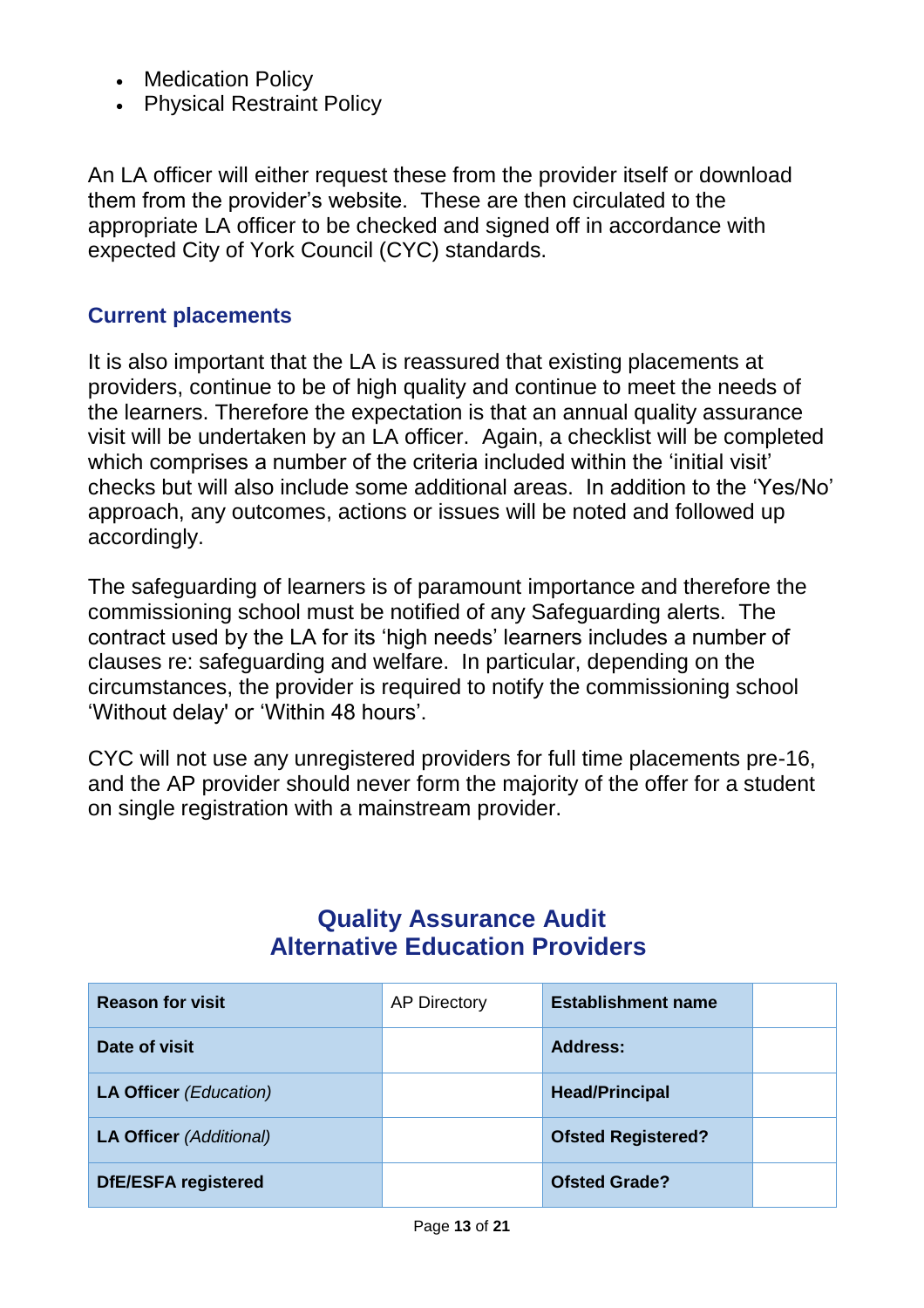- Medication Policy
- Physical Restraint Policy

An LA officer will either request these from the provider itself or download them from the provider's website. These are then circulated to the appropriate LA officer to be checked and signed off in accordance with expected City of York Council (CYC) standards.

# **Current placements**

It is also important that the LA is reassured that existing placements at providers, continue to be of high quality and continue to meet the needs of the learners. Therefore the expectation is that an annual quality assurance visit will be undertaken by an LA officer. Again, a checklist will be completed which comprises a number of the criteria included within the 'initial visit' checks but will also include some additional areas. In addition to the 'Yes/No' approach, any outcomes, actions or issues will be noted and followed up accordingly.

The safeguarding of learners is of paramount importance and therefore the commissioning school must be notified of any Safeguarding alerts. The contract used by the LA for its 'high needs' learners includes a number of clauses re: safeguarding and welfare. In particular, depending on the circumstances, the provider is required to notify the commissioning school 'Without delay' or 'Within 48 hours'.

CYC will not use any unregistered providers for full time placements pre-16, and the AP provider should never form the majority of the offer for a student on single registration with a mainstream provider.

# **Quality Assurance Audit Alternative Education Providers**

| <b>Reason for visit</b>        | <b>AP Directory</b> | <b>Establishment name</b> |  |
|--------------------------------|---------------------|---------------------------|--|
| Date of visit                  |                     | Address:                  |  |
| <b>LA Officer (Education)</b>  |                     | <b>Head/Principal</b>     |  |
| <b>LA Officer (Additional)</b> |                     | <b>Ofsted Registered?</b> |  |
| <b>DfE/ESFA registered</b>     |                     | <b>Ofsted Grade?</b>      |  |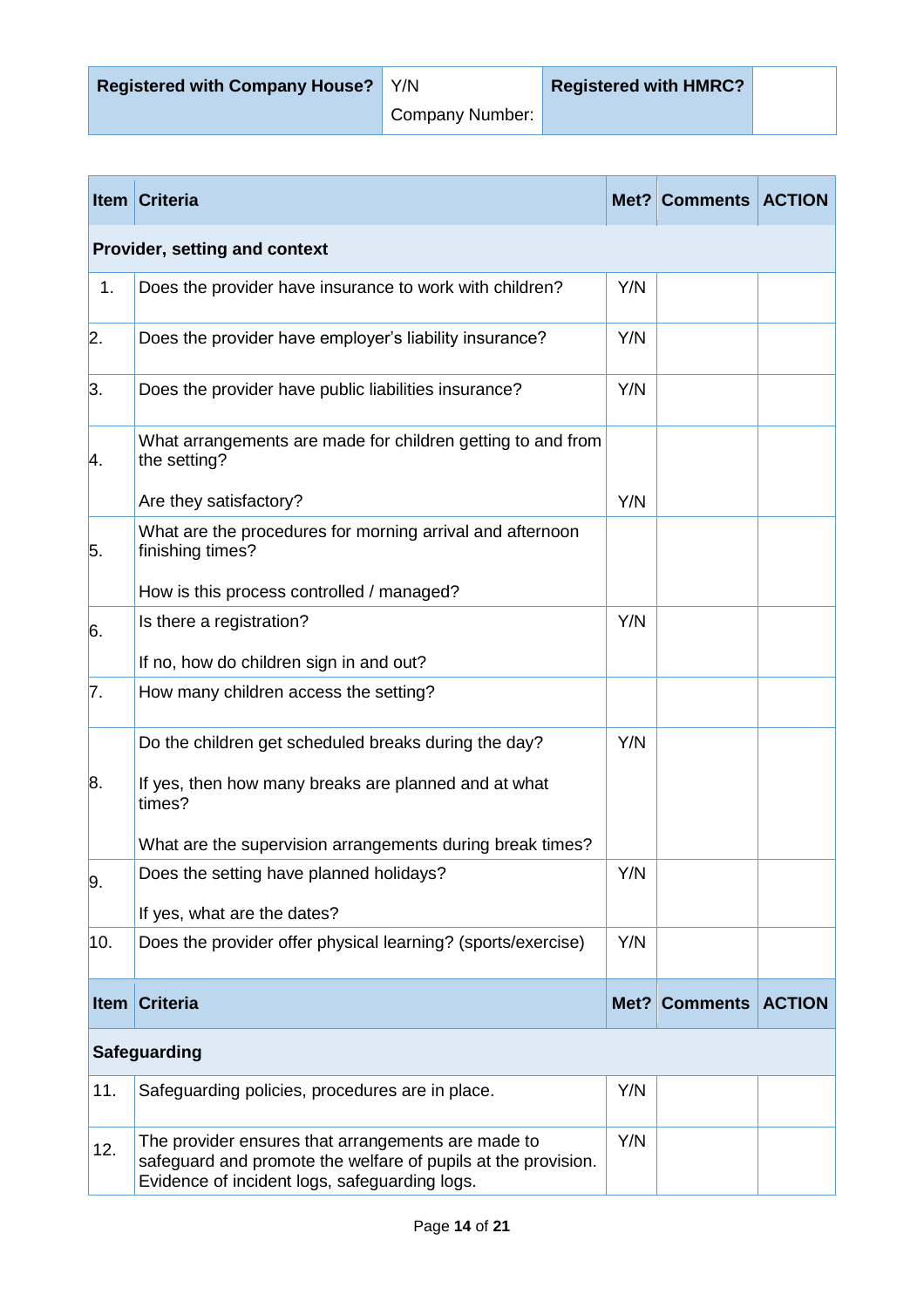Company Number:

| <b>Item</b>      | <b>Criteria</b>                                                                                                                                                      |      | Met? Comments   | <b>ACTION</b> |  |  |
|------------------|----------------------------------------------------------------------------------------------------------------------------------------------------------------------|------|-----------------|---------------|--|--|
|                  | Provider, setting and context                                                                                                                                        |      |                 |               |  |  |
| 1.               | Does the provider have insurance to work with children?                                                                                                              | Y/N  |                 |               |  |  |
| 2.               | Does the provider have employer's liability insurance?                                                                                                               | Y/N  |                 |               |  |  |
| 3.               | Does the provider have public liabilities insurance?                                                                                                                 | Y/N  |                 |               |  |  |
| Α.               | What arrangements are made for children getting to and from<br>the setting?                                                                                          |      |                 |               |  |  |
|                  | Are they satisfactory?                                                                                                                                               | Y/N  |                 |               |  |  |
| 5.               | What are the procedures for morning arrival and afternoon<br>finishing times?                                                                                        |      |                 |               |  |  |
|                  | How is this process controlled / managed?                                                                                                                            |      |                 |               |  |  |
| 6.               | Is there a registration?                                                                                                                                             | Y/N  |                 |               |  |  |
|                  | If no, how do children sign in and out?                                                                                                                              |      |                 |               |  |  |
| $\vert 7.$       | How many children access the setting?                                                                                                                                |      |                 |               |  |  |
|                  | Do the children get scheduled breaks during the day?                                                                                                                 | Y/N  |                 |               |  |  |
| 8.               | If yes, then how many breaks are planned and at what<br>times?                                                                                                       |      |                 |               |  |  |
|                  | What are the supervision arrangements during break times?                                                                                                            |      |                 |               |  |  |
| $\overline{9}$ . | Does the setting have planned holidays?                                                                                                                              | Y/N  |                 |               |  |  |
|                  | If yes, what are the dates?                                                                                                                                          |      |                 |               |  |  |
| 10.              | Does the provider offer physical learning? (sports/exercise)                                                                                                         | Y/N  |                 |               |  |  |
| <b>Item</b>      | <b>Criteria</b>                                                                                                                                                      | Met? | <b>Comments</b> | <b>ACTION</b> |  |  |
|                  | <b>Safeguarding</b>                                                                                                                                                  |      |                 |               |  |  |
| 11.              | Safeguarding policies, procedures are in place.                                                                                                                      | Y/N  |                 |               |  |  |
| 12.              | The provider ensures that arrangements are made to<br>safeguard and promote the welfare of pupils at the provision.<br>Evidence of incident logs, safeguarding logs. | Y/N  |                 |               |  |  |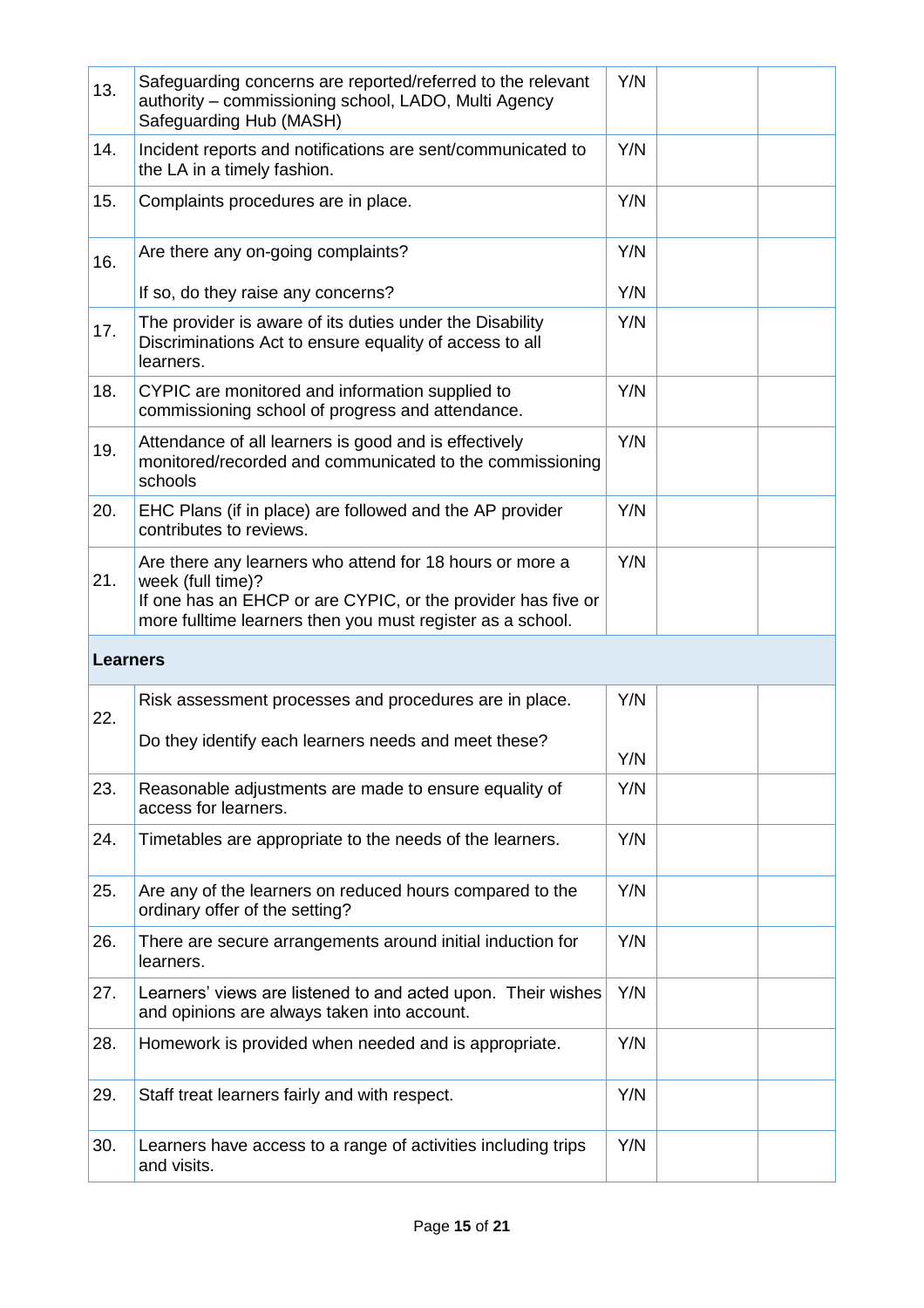| 13.      | Safeguarding concerns are reported/referred to the relevant<br>authority - commissioning school, LADO, Multi Agency<br>Safeguarding Hub (MASH)                                                              | Y/N |  |
|----------|-------------------------------------------------------------------------------------------------------------------------------------------------------------------------------------------------------------|-----|--|
| 14.      | Incident reports and notifications are sent/communicated to<br>the LA in a timely fashion.                                                                                                                  | Y/N |  |
| 15.      | Complaints procedures are in place.                                                                                                                                                                         | Y/N |  |
| 16.      | Are there any on-going complaints?                                                                                                                                                                          | Y/N |  |
|          | If so, do they raise any concerns?                                                                                                                                                                          | Y/N |  |
| 17.      | The provider is aware of its duties under the Disability<br>Discriminations Act to ensure equality of access to all<br>learners.                                                                            | Y/N |  |
| 18.      | CYPIC are monitored and information supplied to<br>commissioning school of progress and attendance.                                                                                                         | Y/N |  |
| 19.      | Attendance of all learners is good and is effectively<br>monitored/recorded and communicated to the commissioning<br>schools                                                                                | Y/N |  |
| 20.      | EHC Plans (if in place) are followed and the AP provider<br>contributes to reviews.                                                                                                                         | Y/N |  |
| 21.      | Are there any learners who attend for 18 hours or more a<br>week (full time)?<br>If one has an EHCP or are CYPIC, or the provider has five or<br>more fulltime learners then you must register as a school. | Y/N |  |
| Learners |                                                                                                                                                                                                             |     |  |
|          | Risk assessment processes and procedures are in place.                                                                                                                                                      | Y/N |  |
| 22.      | Do they identify each learners needs and meet these?                                                                                                                                                        | Y/N |  |
| 23.      | Reasonable adjustments are made to ensure equality of<br>access for learners.                                                                                                                               | Y/N |  |
| 24.      |                                                                                                                                                                                                             |     |  |
|          | Timetables are appropriate to the needs of the learners.                                                                                                                                                    | Y/N |  |
| 25.      | Are any of the learners on reduced hours compared to the<br>ordinary offer of the setting?                                                                                                                  | Y/N |  |
| 26.      | There are secure arrangements around initial induction for<br>learners.                                                                                                                                     | Y/N |  |
| 27.      | Learners' views are listened to and acted upon. Their wishes<br>and opinions are always taken into account.                                                                                                 | Y/N |  |
| 28.      | Homework is provided when needed and is appropriate.                                                                                                                                                        | Y/N |  |
| 29.      | Staff treat learners fairly and with respect.                                                                                                                                                               | Y/N |  |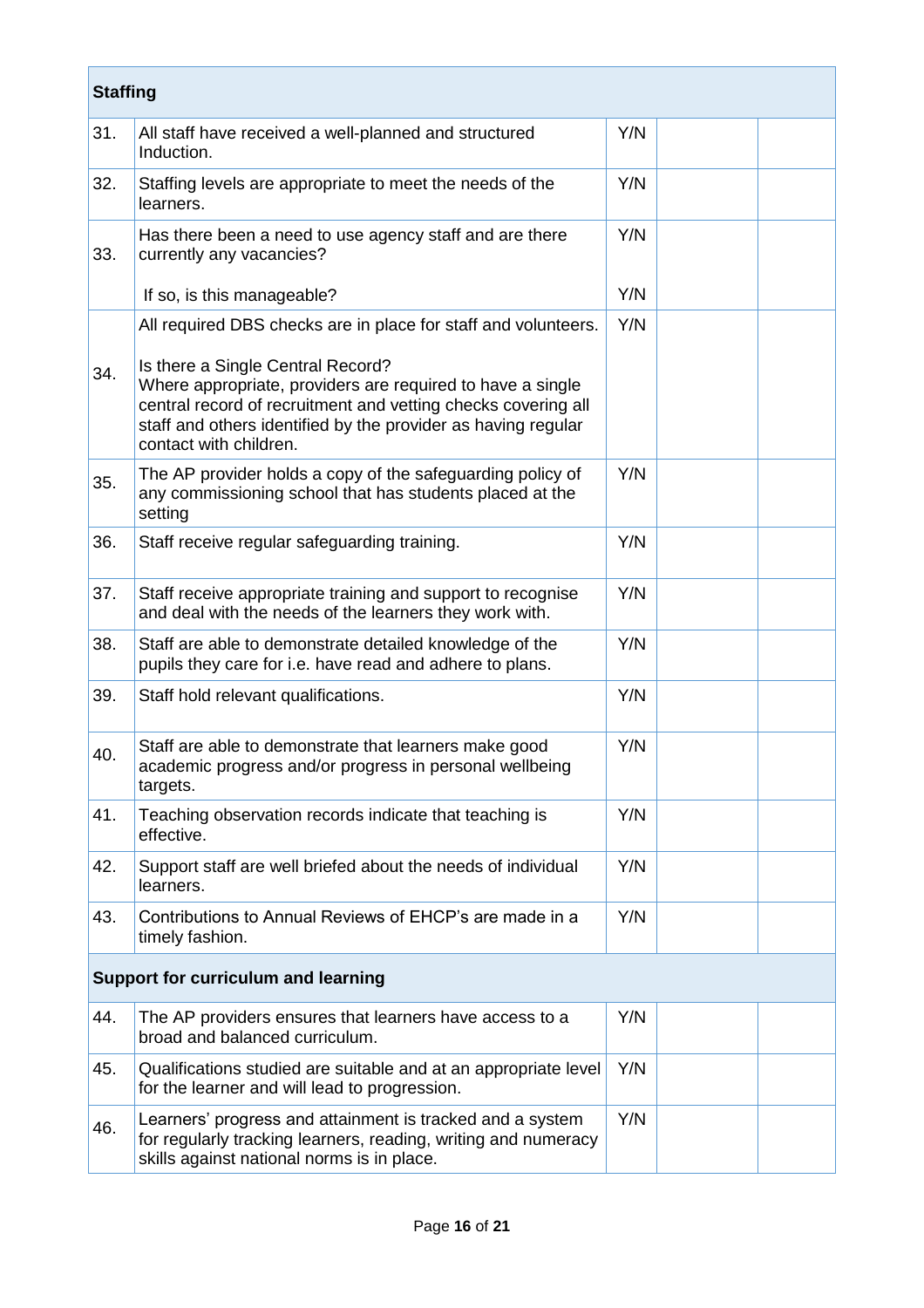| <b>Staffing</b> |                                                                                                                                                                                                                                                                                                                               |     |  |
|-----------------|-------------------------------------------------------------------------------------------------------------------------------------------------------------------------------------------------------------------------------------------------------------------------------------------------------------------------------|-----|--|
| 31.             | All staff have received a well-planned and structured<br>Induction.                                                                                                                                                                                                                                                           | Y/N |  |
| 32.             | Staffing levels are appropriate to meet the needs of the<br>learners.                                                                                                                                                                                                                                                         | Y/N |  |
| 33.             | Has there been a need to use agency staff and are there<br>currently any vacancies?                                                                                                                                                                                                                                           | Y/N |  |
|                 | If so, is this manageable?                                                                                                                                                                                                                                                                                                    | Y/N |  |
| 34.             | All required DBS checks are in place for staff and volunteers.<br>Is there a Single Central Record?<br>Where appropriate, providers are required to have a single<br>central record of recruitment and vetting checks covering all<br>staff and others identified by the provider as having regular<br>contact with children. | Y/N |  |
| 35.             | The AP provider holds a copy of the safeguarding policy of<br>any commissioning school that has students placed at the<br>setting                                                                                                                                                                                             | Y/N |  |
| 36.             | Staff receive regular safeguarding training.                                                                                                                                                                                                                                                                                  | Y/N |  |
| 37.             | Staff receive appropriate training and support to recognise<br>and deal with the needs of the learners they work with.                                                                                                                                                                                                        | Y/N |  |
| 38.             | Staff are able to demonstrate detailed knowledge of the<br>pupils they care for i.e. have read and adhere to plans.                                                                                                                                                                                                           | Y/N |  |
| 39.             | Staff hold relevant qualifications.                                                                                                                                                                                                                                                                                           | Y/N |  |
| 40.             | Staff are able to demonstrate that learners make good<br>academic progress and/or progress in personal wellbeing<br>targets.                                                                                                                                                                                                  | Y/N |  |
| 41.             | Teaching observation records indicate that teaching is<br>effective.                                                                                                                                                                                                                                                          | Y/N |  |
| 42.             | Support staff are well briefed about the needs of individual<br>learners.                                                                                                                                                                                                                                                     | Y/N |  |
| 43.             | Contributions to Annual Reviews of EHCP's are made in a<br>timely fashion.                                                                                                                                                                                                                                                    | Y/N |  |
|                 | <b>Support for curriculum and learning</b>                                                                                                                                                                                                                                                                                    |     |  |
| 44.             | The AP providers ensures that learners have access to a<br>broad and balanced curriculum.                                                                                                                                                                                                                                     | Y/N |  |
| 45.             | Qualifications studied are suitable and at an appropriate level<br>for the learner and will lead to progression.                                                                                                                                                                                                              | Y/N |  |
| 46.             | Learners' progress and attainment is tracked and a system<br>for regularly tracking learners, reading, writing and numeracy<br>skills against national norms is in place.                                                                                                                                                     | Y/N |  |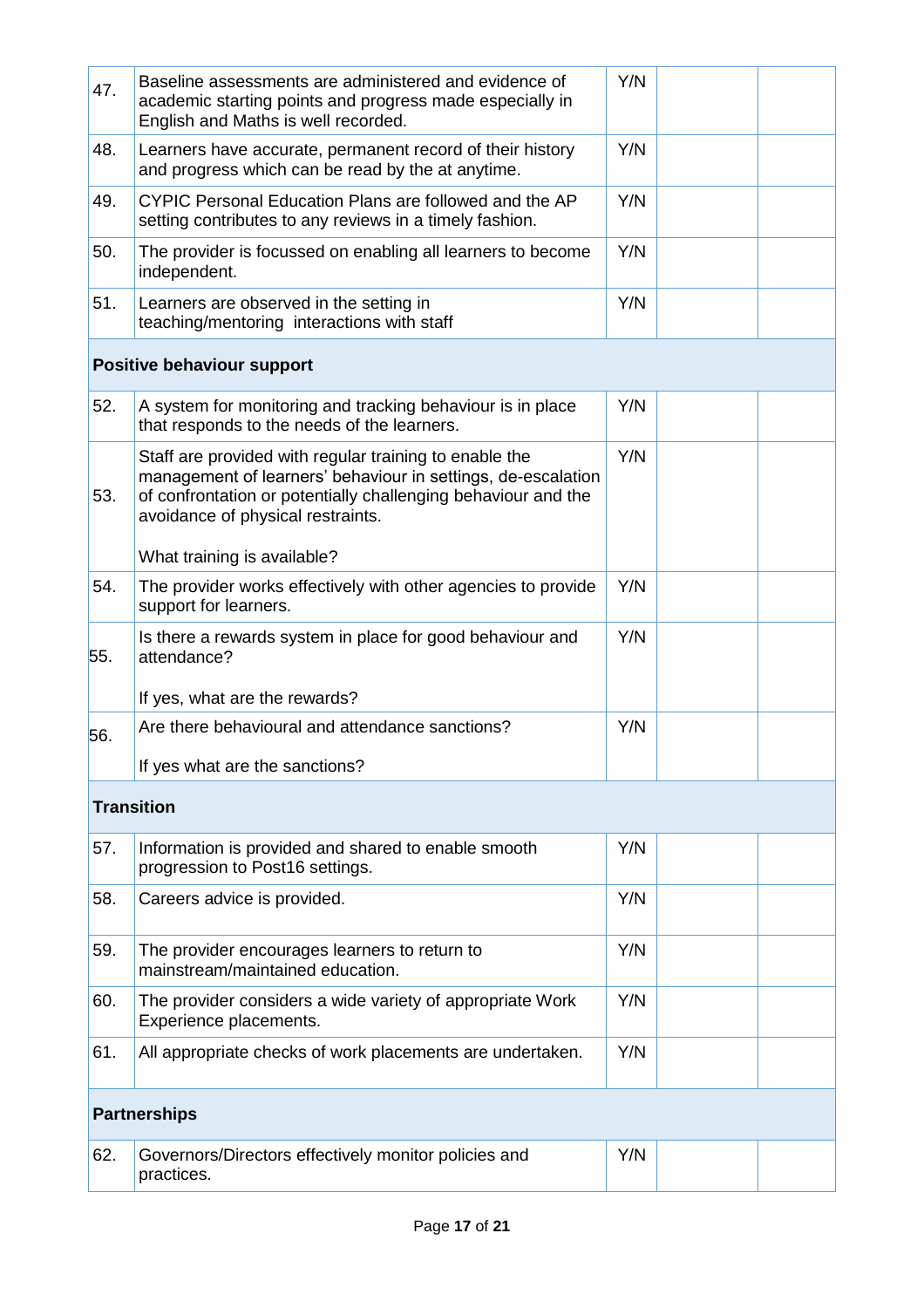| 47. | Baseline assessments are administered and evidence of<br>academic starting points and progress made especially in<br>English and Maths is well recorded.                                                                     | Y/N |  |
|-----|------------------------------------------------------------------------------------------------------------------------------------------------------------------------------------------------------------------------------|-----|--|
| 48. | Learners have accurate, permanent record of their history<br>and progress which can be read by the at anytime.                                                                                                               | Y/N |  |
| 49. | CYPIC Personal Education Plans are followed and the AP<br>setting contributes to any reviews in a timely fashion.                                                                                                            | Y/N |  |
| 50. | The provider is focussed on enabling all learners to become<br>independent.                                                                                                                                                  | Y/N |  |
| 51. | Learners are observed in the setting in<br>teaching/mentoring interactions with staff                                                                                                                                        | Y/N |  |
|     | <b>Positive behaviour support</b>                                                                                                                                                                                            |     |  |
| 52. | A system for monitoring and tracking behaviour is in place<br>that responds to the needs of the learners.                                                                                                                    | Y/N |  |
| 53. | Staff are provided with regular training to enable the<br>management of learners' behaviour in settings, de-escalation<br>of confrontation or potentially challenging behaviour and the<br>avoidance of physical restraints. | Y/N |  |
|     | What training is available?                                                                                                                                                                                                  |     |  |
| 54. | The provider works effectively with other agencies to provide<br>support for learners.                                                                                                                                       | Y/N |  |
| 55. | Is there a rewards system in place for good behaviour and<br>attendance?                                                                                                                                                     | Y/N |  |
|     | If yes, what are the rewards?                                                                                                                                                                                                |     |  |
| 56. | Are there behavioural and attendance sanctions?<br>If yes what are the sanctions?                                                                                                                                            | Y/N |  |
|     |                                                                                                                                                                                                                              |     |  |
|     | <b>Transition</b>                                                                                                                                                                                                            |     |  |
| 57. | Information is provided and shared to enable smooth<br>progression to Post16 settings.                                                                                                                                       | Y/N |  |
| 58. | Careers advice is provided.                                                                                                                                                                                                  | Y/N |  |
| 59. | The provider encourages learners to return to<br>mainstream/maintained education.                                                                                                                                            | Y/N |  |
| 60. | The provider considers a wide variety of appropriate Work<br>Experience placements.                                                                                                                                          | Y/N |  |
| 61. | All appropriate checks of work placements are undertaken.                                                                                                                                                                    | Y/N |  |
|     | <b>Partnerships</b>                                                                                                                                                                                                          |     |  |
| 62. | Governors/Directors effectively monitor policies and<br>practices.                                                                                                                                                           | Y/N |  |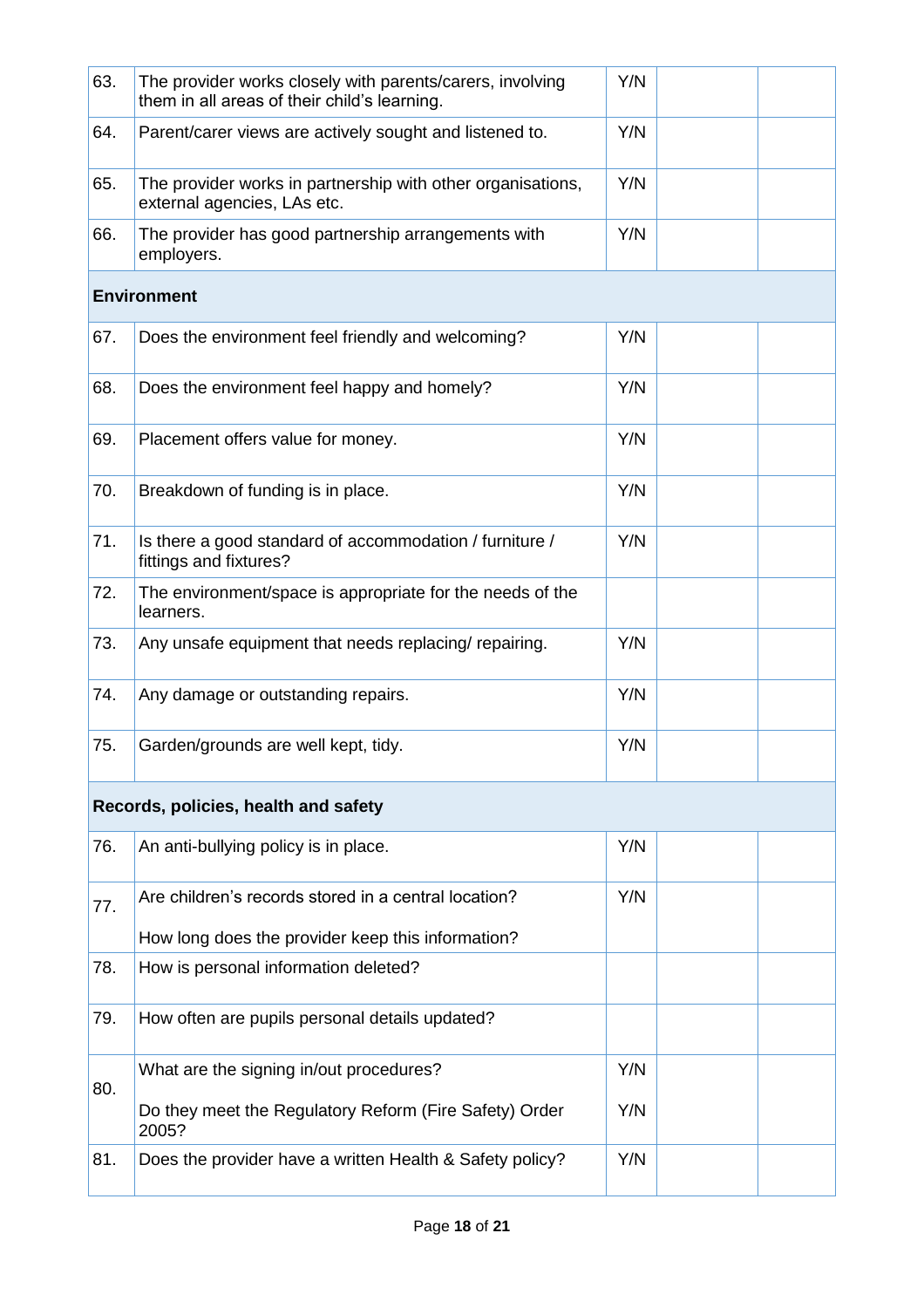| 63. | The provider works closely with parents/carers, involving<br>them in all areas of their child's learning. | Y/N |  |
|-----|-----------------------------------------------------------------------------------------------------------|-----|--|
| 64. | Parent/carer views are actively sought and listened to.                                                   | Y/N |  |
| 65. | The provider works in partnership with other organisations,<br>external agencies, LAs etc.                | Y/N |  |
| 66. | The provider has good partnership arrangements with<br>employers.                                         | Y/N |  |
|     | <b>Environment</b>                                                                                        |     |  |
| 67. | Does the environment feel friendly and welcoming?                                                         | Y/N |  |
| 68. | Does the environment feel happy and homely?                                                               | Y/N |  |
| 69. | Placement offers value for money.                                                                         | Y/N |  |
| 70. | Breakdown of funding is in place.                                                                         | Y/N |  |
| 71. | Is there a good standard of accommodation / furniture /<br>fittings and fixtures?                         | Y/N |  |
| 72. | The environment/space is appropriate for the needs of the<br>learners.                                    |     |  |
| 73. | Any unsafe equipment that needs replacing/ repairing.                                                     | Y/N |  |
| 74. | Any damage or outstanding repairs.                                                                        | Y/N |  |
| 75. | Garden/grounds are well kept, tidy.                                                                       | Y/N |  |
|     | Records, policies, health and safety                                                                      |     |  |
| 76. | An anti-bullying policy is in place.                                                                      | Y/N |  |
| 77. | Are children's records stored in a central location?                                                      | Y/N |  |
|     | How long does the provider keep this information?                                                         |     |  |
| 78. | How is personal information deleted?                                                                      |     |  |
| 79. | How often are pupils personal details updated?                                                            |     |  |
| 80. | What are the signing in/out procedures?                                                                   | Y/N |  |
|     | Do they meet the Regulatory Reform (Fire Safety) Order<br>2005?                                           | Y/N |  |
| 81. | Does the provider have a written Health & Safety policy?                                                  | Y/N |  |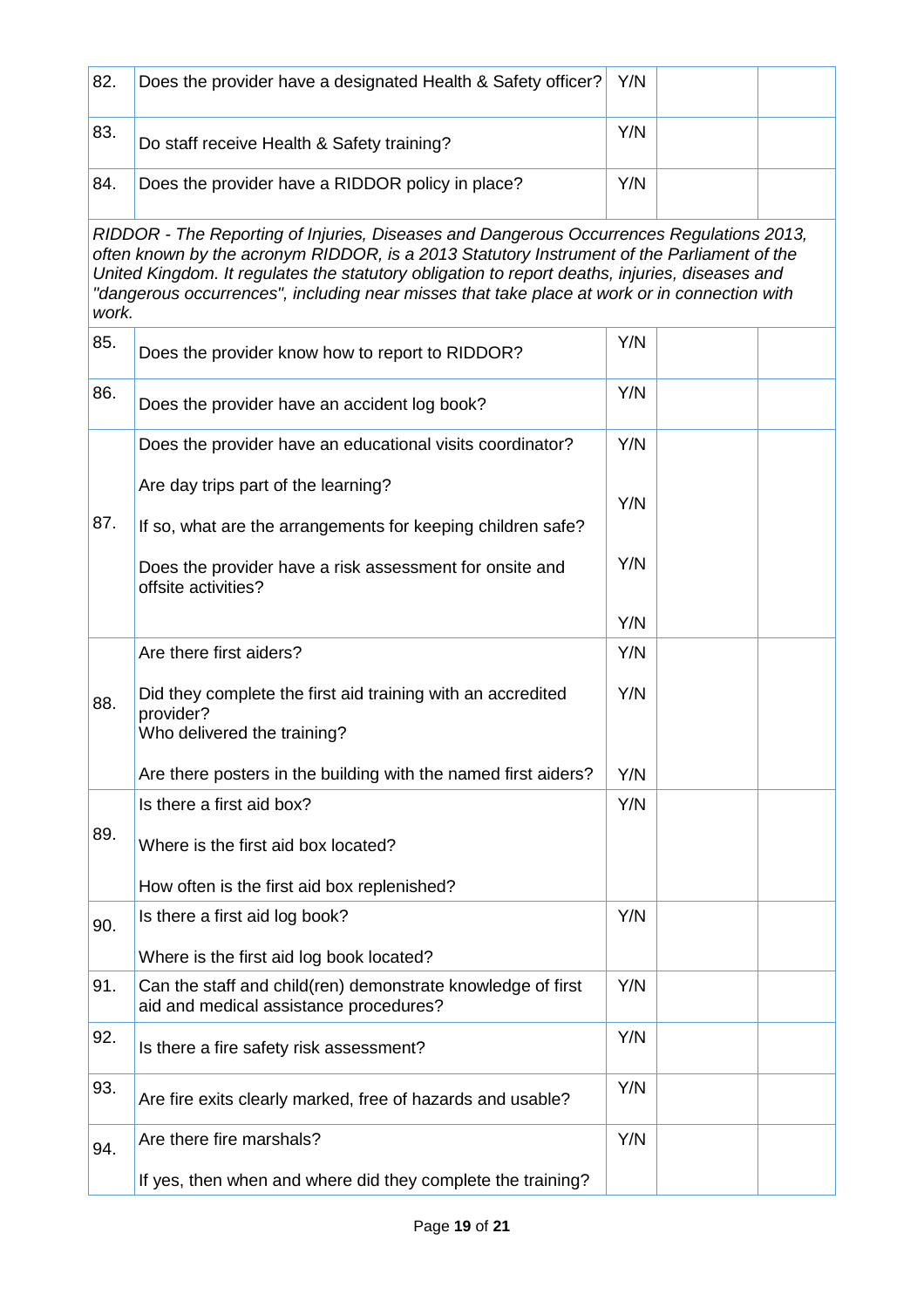| 82.   | Does the provider have a designated Health & Safety officer?                                                                                                                                                                                                                                                                                                                             | Y/N |  |
|-------|------------------------------------------------------------------------------------------------------------------------------------------------------------------------------------------------------------------------------------------------------------------------------------------------------------------------------------------------------------------------------------------|-----|--|
| 83.   | Do staff receive Health & Safety training?                                                                                                                                                                                                                                                                                                                                               | Y/N |  |
| 84.   | Does the provider have a RIDDOR policy in place?                                                                                                                                                                                                                                                                                                                                         | Y/N |  |
| work. | RIDDOR - The Reporting of Injuries, Diseases and Dangerous Occurrences Regulations 2013,<br>often known by the acronym RIDDOR, is a 2013 Statutory Instrument of the Parliament of the<br>United Kingdom. It regulates the statutory obligation to report deaths, injuries, diseases and<br>"dangerous occurrences", including near misses that take place at work or in connection with |     |  |
| 85.   | Does the provider know how to report to RIDDOR?                                                                                                                                                                                                                                                                                                                                          | Y/N |  |
| 86.   | Does the provider have an accident log book?                                                                                                                                                                                                                                                                                                                                             | Y/N |  |
|       | Does the provider have an educational visits coordinator?                                                                                                                                                                                                                                                                                                                                | Y/N |  |
| 87.   | Are day trips part of the learning?                                                                                                                                                                                                                                                                                                                                                      | Y/N |  |
|       | If so, what are the arrangements for keeping children safe?<br>Does the provider have a risk assessment for onsite and<br>offsite activities?                                                                                                                                                                                                                                            | Y/N |  |
|       |                                                                                                                                                                                                                                                                                                                                                                                          | Y/N |  |
|       | Are there first aiders?                                                                                                                                                                                                                                                                                                                                                                  | Y/N |  |
| 88.   | Did they complete the first aid training with an accredited<br>provider?<br>Who delivered the training?                                                                                                                                                                                                                                                                                  | Y/N |  |
|       | Are there posters in the building with the named first aiders?                                                                                                                                                                                                                                                                                                                           | Y/N |  |
|       | Is there a first aid box?                                                                                                                                                                                                                                                                                                                                                                | Y/N |  |
| 89.   | Where is the first aid box located?                                                                                                                                                                                                                                                                                                                                                      |     |  |
|       | How often is the first aid box replenished?                                                                                                                                                                                                                                                                                                                                              |     |  |
| 90.   | Is there a first aid log book?                                                                                                                                                                                                                                                                                                                                                           | Y/N |  |
|       | Where is the first aid log book located?                                                                                                                                                                                                                                                                                                                                                 |     |  |
| 91.   | Can the staff and child(ren) demonstrate knowledge of first<br>aid and medical assistance procedures?                                                                                                                                                                                                                                                                                    | Y/N |  |
| 92.   | Is there a fire safety risk assessment?                                                                                                                                                                                                                                                                                                                                                  | Y/N |  |
| 93.   | Are fire exits clearly marked, free of hazards and usable?                                                                                                                                                                                                                                                                                                                               | Y/N |  |
| 94.   | Are there fire marshals?                                                                                                                                                                                                                                                                                                                                                                 | Y/N |  |
|       | If yes, then when and where did they complete the training?                                                                                                                                                                                                                                                                                                                              |     |  |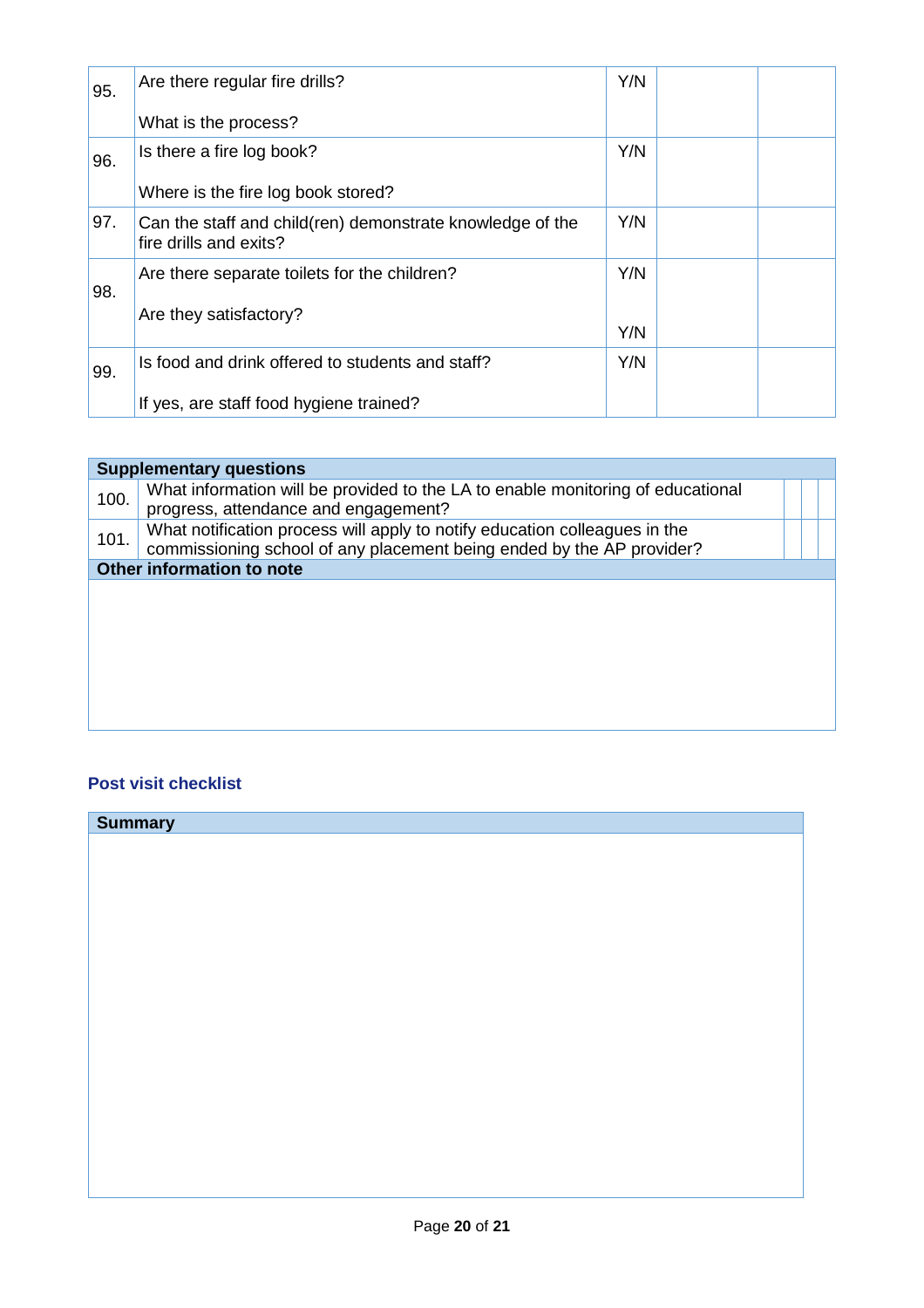| 95. | Are there regular fire drills?                                                      | Y/N |  |
|-----|-------------------------------------------------------------------------------------|-----|--|
|     | What is the process?                                                                |     |  |
| 96. | Is there a fire log book?                                                           | Y/N |  |
|     | Where is the fire log book stored?                                                  |     |  |
| 97. | Can the staff and child(ren) demonstrate knowledge of the<br>fire drills and exits? | Y/N |  |
| 98. | Are there separate toilets for the children?                                        | Y/N |  |
|     | Are they satisfactory?                                                              | Y/N |  |
| 99. | Is food and drink offered to students and staff?                                    | Y/N |  |
|     | If yes, are staff food hygiene trained?                                             |     |  |

| <b>Supplementary questions</b> |                                                                                                                                                     |  |  |  |  |
|--------------------------------|-----------------------------------------------------------------------------------------------------------------------------------------------------|--|--|--|--|
| 100.                           | What information will be provided to the LA to enable monitoring of educational<br>progress, attendance and engagement?                             |  |  |  |  |
| 101.                           | What notification process will apply to notify education colleagues in the<br>commissioning school of any placement being ended by the AP provider? |  |  |  |  |
|                                | Other information to note                                                                                                                           |  |  |  |  |
|                                |                                                                                                                                                     |  |  |  |  |
|                                |                                                                                                                                                     |  |  |  |  |
|                                |                                                                                                                                                     |  |  |  |  |
|                                |                                                                                                                                                     |  |  |  |  |
|                                |                                                                                                                                                     |  |  |  |  |
|                                |                                                                                                                                                     |  |  |  |  |

#### **Post visit checklist**

| <b>Summary</b> |  |  |
|----------------|--|--|
|                |  |  |
|                |  |  |
|                |  |  |
|                |  |  |
|                |  |  |
|                |  |  |
|                |  |  |
|                |  |  |
|                |  |  |
|                |  |  |
|                |  |  |
|                |  |  |
|                |  |  |
|                |  |  |
|                |  |  |
|                |  |  |